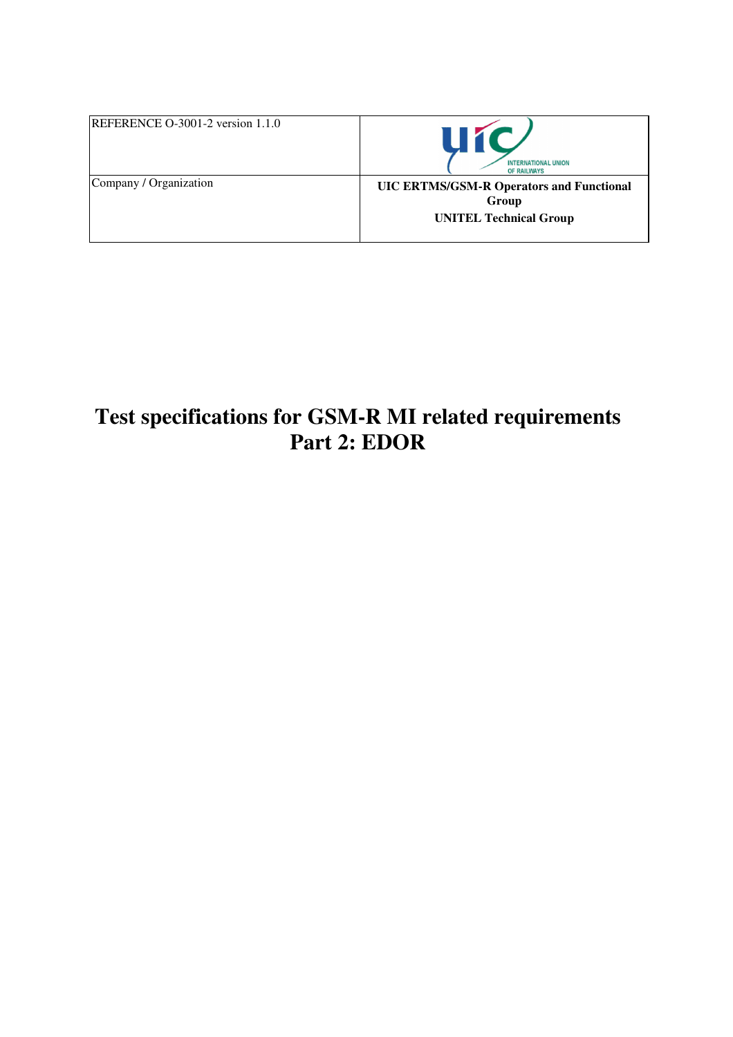| REFERENCE O-3001-2 version 1.1.0 | ШT<br><b>INTERNATIONAL UNION</b><br><b>OF RAILWAYS</b>                                    |
|----------------------------------|-------------------------------------------------------------------------------------------|
| Company / Organization           | <b>UIC ERTMS/GSM-R Operators and Functional</b><br>Group<br><b>UNITEL Technical Group</b> |

# **Test specifications for GSM-R MI related requirements Part 2: EDOR**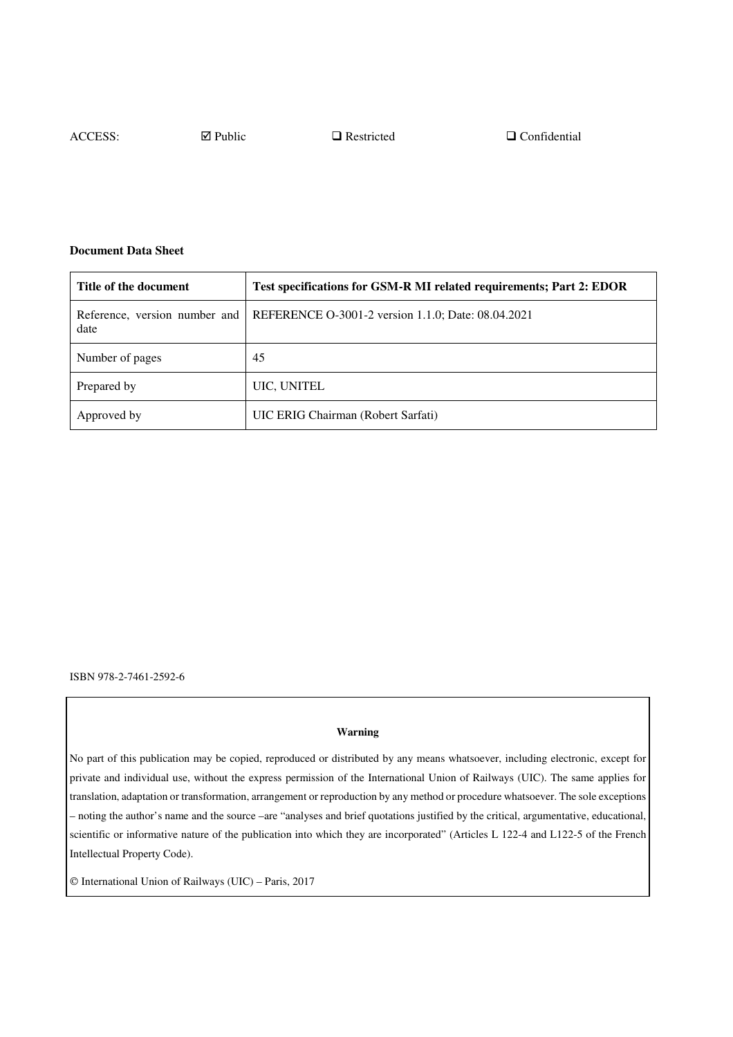ACCESS:  $\Box$  Public  $\Box$  Restricted  $\Box$  Confidential

#### **Document Data Sheet**

| Title of the document                 | Test specifications for GSM-R MI related requirements; Part 2: EDOR |
|---------------------------------------|---------------------------------------------------------------------|
| Reference, version number and<br>date | REFERENCE O-3001-2 version 1.1.0; Date: 08.04.2021                  |
| Number of pages                       | 45                                                                  |
| Prepared by                           | UIC, UNITEL                                                         |
| Approved by                           | UIC ERIG Chairman (Robert Sarfati)                                  |

ISBN 978-2-7461-2592-6

#### **Warning**

No part of this publication may be copied, reproduced or distributed by any means whatsoever, including electronic, except for private and individual use, without the express permission of the International Union of Railways (UIC). The same applies for translation, adaptation or transformation, arrangement or reproduction by any method or procedure whatsoever. The sole exceptions – noting the author's name and the source –are "analyses and brief quotations justified by the critical, argumentative, educational, scientific or informative nature of the publication into which they are incorporated" (Articles L 122-4 and L122-5 of the French Intellectual Property Code).

International Union of Railways (UIC) – Paris, 2017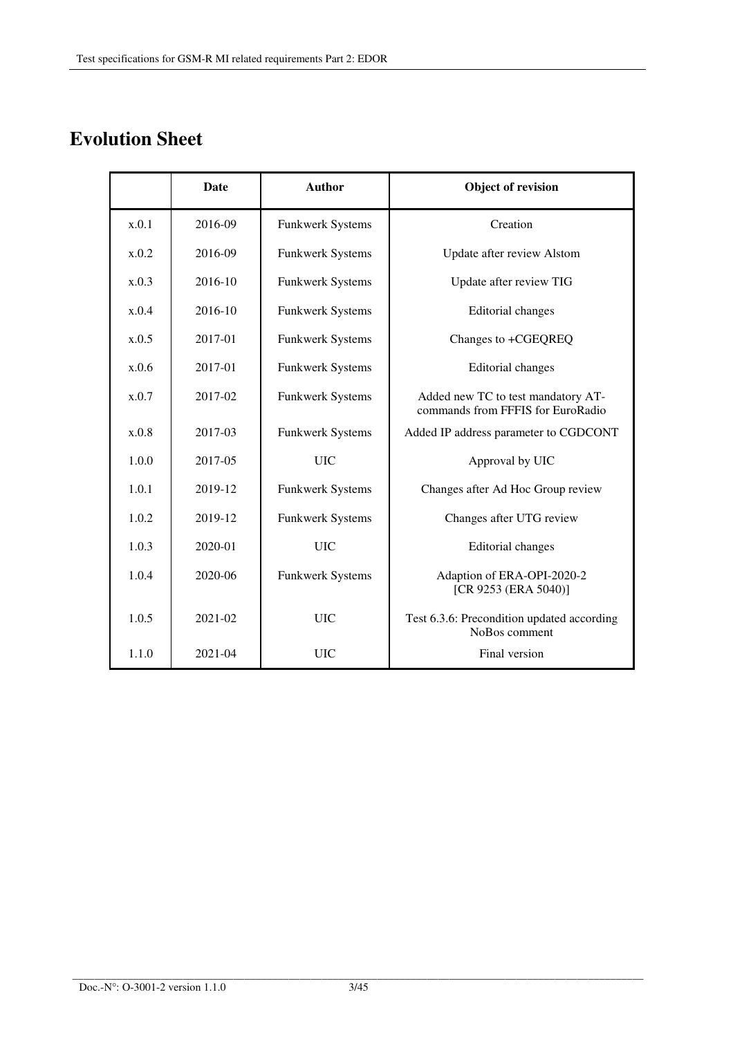# **Evolution Sheet**

|       | <b>Date</b> | <b>Author</b>           | <b>Object of revision</b>                                               |
|-------|-------------|-------------------------|-------------------------------------------------------------------------|
| x.0.1 | 2016-09     | Funkwerk Systems        | Creation                                                                |
| x.0.2 | 2016-09     | Funkwerk Systems        | Update after review Alstom                                              |
| x.0.3 | 2016-10     | Funkwerk Systems        | Update after review TIG                                                 |
| x.0.4 | 2016-10     | Funkwerk Systems        | <b>Editorial</b> changes                                                |
| x.0.5 | 2017-01     | <b>Funkwerk Systems</b> | Changes to +CGEQREQ                                                     |
| x.0.6 | 2017-01     | <b>Funkwerk Systems</b> | <b>Editorial</b> changes                                                |
| x.0.7 | 2017-02     | <b>Funkwerk Systems</b> | Added new TC to test mandatory AT-<br>commands from FFFIS for EuroRadio |
| x.0.8 | 2017-03     | <b>Funkwerk Systems</b> | Added IP address parameter to CGDCONT                                   |
| 1.0.0 | 2017-05     | <b>UIC</b>              | Approval by UIC                                                         |
| 1.0.1 | 2019-12     | Funkwerk Systems        | Changes after Ad Hoc Group review                                       |
| 1.0.2 | 2019-12     | Funkwerk Systems        | Changes after UTG review                                                |
| 1.0.3 | 2020-01     | <b>UIC</b>              | <b>Editorial</b> changes                                                |
| 1.0.4 | 2020-06     | <b>Funkwerk Systems</b> | Adaption of ERA-OPI-2020-2<br>[CR 9253 (ERA 5040)]                      |
| 1.0.5 | 2021-02     | <b>UIC</b>              | Test 6.3.6: Precondition updated according<br>NoBos comment             |
| 1.1.0 | 2021-04     | <b>UIC</b>              | Final version                                                           |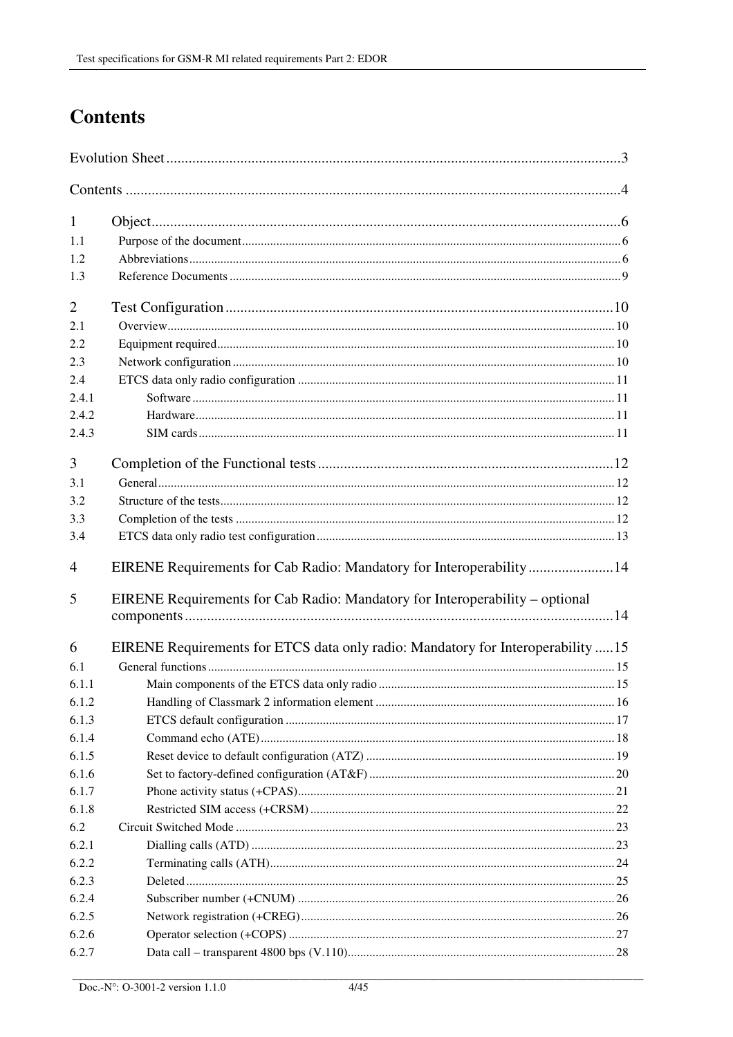# **Contents**

| 1              |                                                                                 |  |
|----------------|---------------------------------------------------------------------------------|--|
| 1.1            |                                                                                 |  |
| 1.2            |                                                                                 |  |
| 1.3            |                                                                                 |  |
| $\overline{2}$ |                                                                                 |  |
| 2.1            |                                                                                 |  |
| 2.2            |                                                                                 |  |
| 2.3            |                                                                                 |  |
| 2.4            |                                                                                 |  |
| 2.4.1          |                                                                                 |  |
| 2.4.2          |                                                                                 |  |
| 2.4.3          |                                                                                 |  |
| 3              |                                                                                 |  |
| 3.1            |                                                                                 |  |
| 3.2            |                                                                                 |  |
| 3.3            |                                                                                 |  |
| 3.4            |                                                                                 |  |
| 4              | EIRENE Requirements for Cab Radio: Mandatory for Interoperability14             |  |
| 5              | EIRENE Requirements for Cab Radio: Mandatory for Interoperability – optional    |  |
|                |                                                                                 |  |
| 6              | EIRENE Requirements for ETCS data only radio: Mandatory for Interoperability 15 |  |
| 6.1            |                                                                                 |  |
| 6.1.1          |                                                                                 |  |
| 6.1.2          |                                                                                 |  |
| 6.1.3          |                                                                                 |  |
| 6.1.4          |                                                                                 |  |
| 6.1.5          |                                                                                 |  |
| 6.1.6          |                                                                                 |  |
| 6.1.7          |                                                                                 |  |
| 6.1.8          |                                                                                 |  |
| 6.2            |                                                                                 |  |
| 6.2.1          |                                                                                 |  |
| 6.2.2          |                                                                                 |  |
| 6.2.3          |                                                                                 |  |
| 6.2.4          |                                                                                 |  |
| 6.2.5          |                                                                                 |  |
| 6.2.6          |                                                                                 |  |
| 6.2.7          |                                                                                 |  |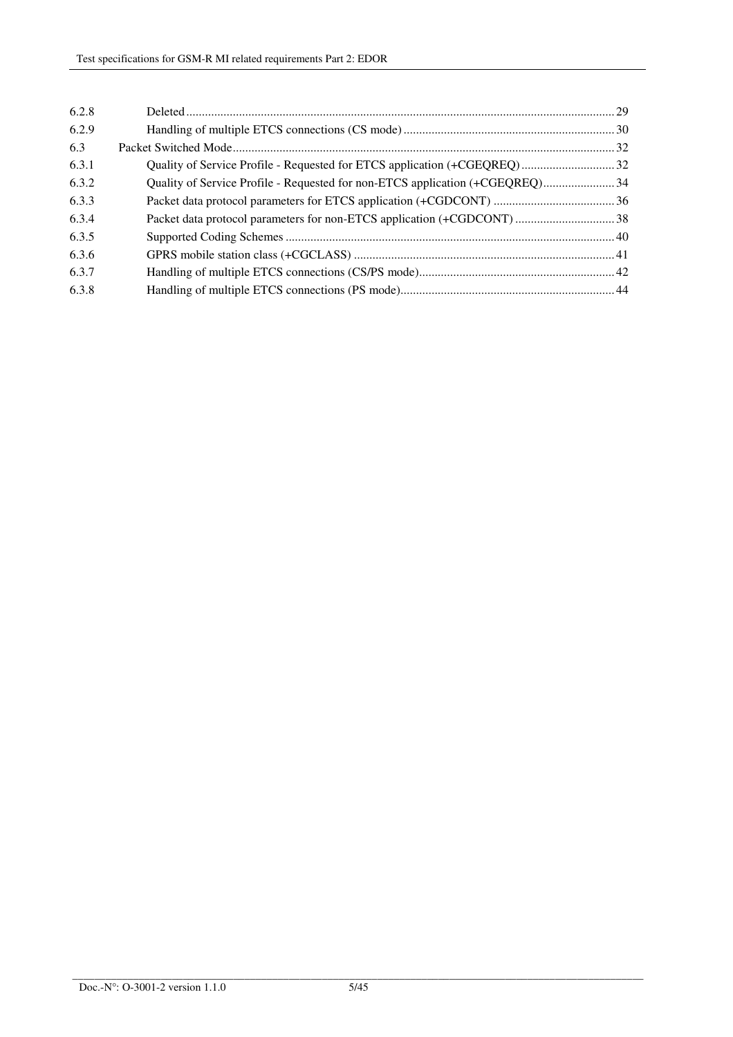| 6.2.8 |  |
|-------|--|
| 6.2.9 |  |
| 6.3   |  |
| 6.3.1 |  |
| 6.3.2 |  |
| 6.3.3 |  |
| 6.3.4 |  |
| 6.3.5 |  |
| 6.3.6 |  |
| 6.3.7 |  |
| 6.3.8 |  |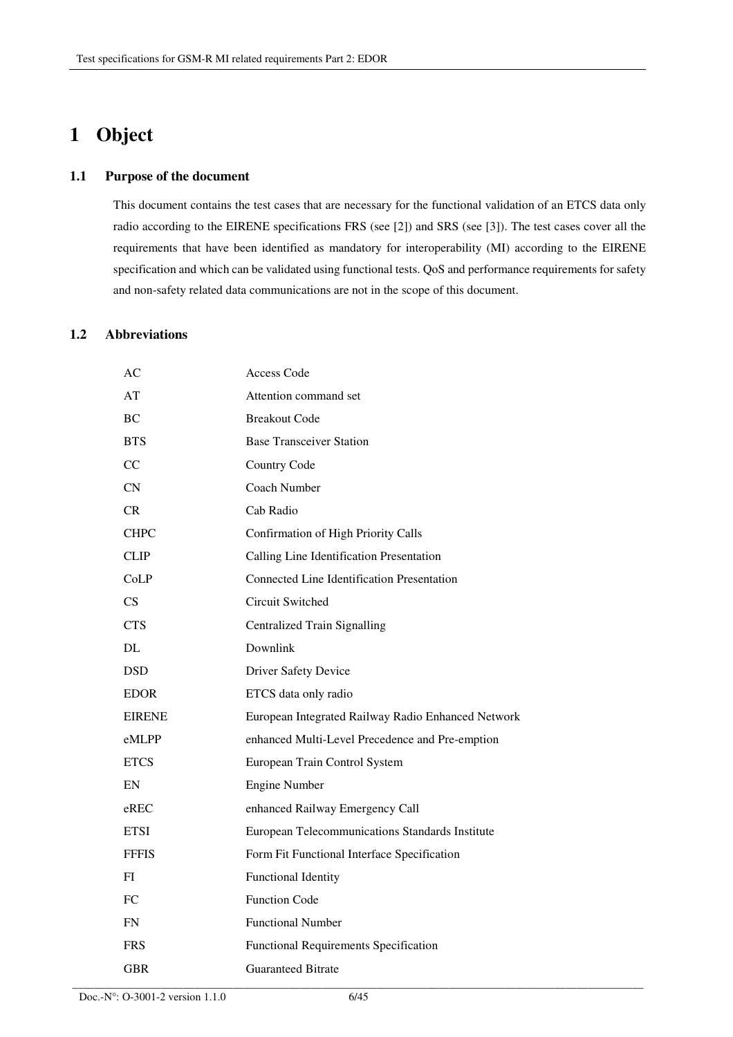# **1 Object**

#### **1.1 Purpose of the document**

This document contains the test cases that are necessary for the functional validation of an ETCS data only radio according to the EIRENE specifications FRS (see [2]) and SRS (see [3]). The test cases cover all the requirements that have been identified as mandatory for interoperability (MI) according to the EIRENE specification and which can be validated using functional tests. QoS and performance requirements for safety and non-safety related data communications are not in the scope of this document.

## **1.2 Abbreviations**

| АC            | Access Code                                        |
|---------------|----------------------------------------------------|
| AT            | Attention command set                              |
| $\rm BC$      | <b>Breakout Code</b>                               |
| <b>BTS</b>    | <b>Base Transceiver Station</b>                    |
| CC            | Country Code                                       |
| CN            | Coach Number                                       |
| <b>CR</b>     | Cab Radio                                          |
| <b>CHPC</b>   | Confirmation of High Priority Calls                |
| <b>CLIP</b>   | Calling Line Identification Presentation           |
| CoLP          | <b>Connected Line Identification Presentation</b>  |
| CS.           | Circuit Switched                                   |
| <b>CTS</b>    | Centralized Train Signalling                       |
| DL            | Downlink                                           |
| <b>DSD</b>    | <b>Driver Safety Device</b>                        |
| <b>EDOR</b>   | ETCS data only radio                               |
| <b>EIRENE</b> | European Integrated Railway Radio Enhanced Network |
| eMLPP         | enhanced Multi-Level Precedence and Pre-emption    |
| <b>ETCS</b>   | European Train Control System                      |
| EN            | <b>Engine Number</b>                               |
| $e$ REC       | enhanced Railway Emergency Call                    |
| <b>ETSI</b>   | European Telecommunications Standards Institute    |
| <b>FFFIS</b>  | Form Fit Functional Interface Specification        |
| FI            | <b>Functional Identity</b>                         |
| FC            | <b>Function Code</b>                               |
| <b>FN</b>     | <b>Functional Number</b>                           |
| <b>FRS</b>    | <b>Functional Requirements Specification</b>       |
| <b>GBR</b>    | <b>Guaranteed Bitrate</b>                          |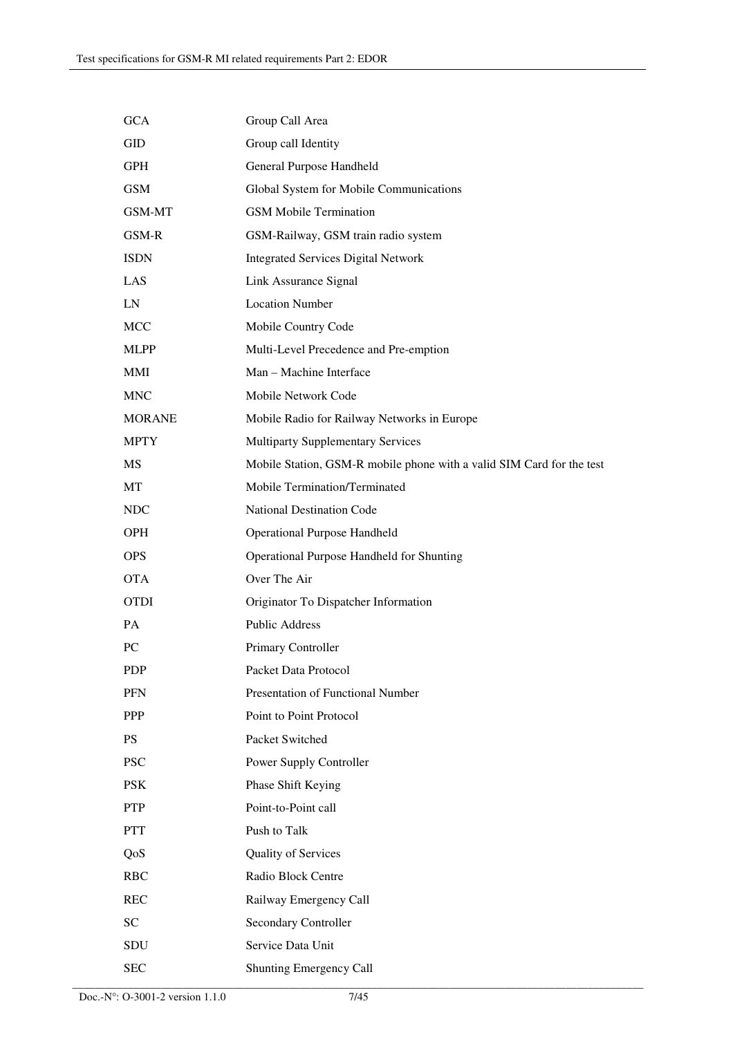| <b>GCA</b>    | Group Call Area                                                       |
|---------------|-----------------------------------------------------------------------|
| GID           | Group call Identity                                                   |
| <b>GPH</b>    | General Purpose Handheld                                              |
| <b>GSM</b>    | Global System for Mobile Communications                               |
| GSM-MT        | <b>GSM Mobile Termination</b>                                         |
| GSM-R         | GSM-Railway, GSM train radio system                                   |
| <b>ISDN</b>   | <b>Integrated Services Digital Network</b>                            |
| LAS           | Link Assurance Signal                                                 |
| LN            | <b>Location Number</b>                                                |
| <b>MCC</b>    | Mobile Country Code                                                   |
| <b>MLPP</b>   | Multi-Level Precedence and Pre-emption                                |
| MMI           | Man - Machine Interface                                               |
| <b>MNC</b>    | Mobile Network Code                                                   |
| <b>MORANE</b> | Mobile Radio for Railway Networks in Europe                           |
| <b>MPTY</b>   | <b>Multiparty Supplementary Services</b>                              |
| MS            | Mobile Station, GSM-R mobile phone with a valid SIM Card for the test |
| MT            | Mobile Termination/Terminated                                         |
| <b>NDC</b>    | <b>National Destination Code</b>                                      |
| <b>OPH</b>    | <b>Operational Purpose Handheld</b>                                   |
| <b>OPS</b>    | Operational Purpose Handheld for Shunting                             |
| <b>OTA</b>    | Over The Air                                                          |
| <b>OTDI</b>   | Originator To Dispatcher Information                                  |
| <b>PA</b>     | <b>Public Address</b>                                                 |
| PC            | Primary Controller                                                    |
| <b>PDP</b>    | Packet Data Protocol                                                  |
| <b>PFN</b>    | Presentation of Functional Number                                     |
| PPP           | Point to Point Protocol                                               |
| <b>PS</b>     | Packet Switched                                                       |
| <b>PSC</b>    | Power Supply Controller                                               |
| <b>PSK</b>    | Phase Shift Keying                                                    |
| <b>PTP</b>    | Point-to-Point call                                                   |
| <b>PTT</b>    | Push to Talk                                                          |
| QoS           | Quality of Services                                                   |
| <b>RBC</b>    | Radio Block Centre                                                    |
| <b>REC</b>    | Railway Emergency Call                                                |
| <b>SC</b>     | <b>Secondary Controller</b>                                           |
| SDU           | Service Data Unit                                                     |
| <b>SEC</b>    | Shunting Emergency Call                                               |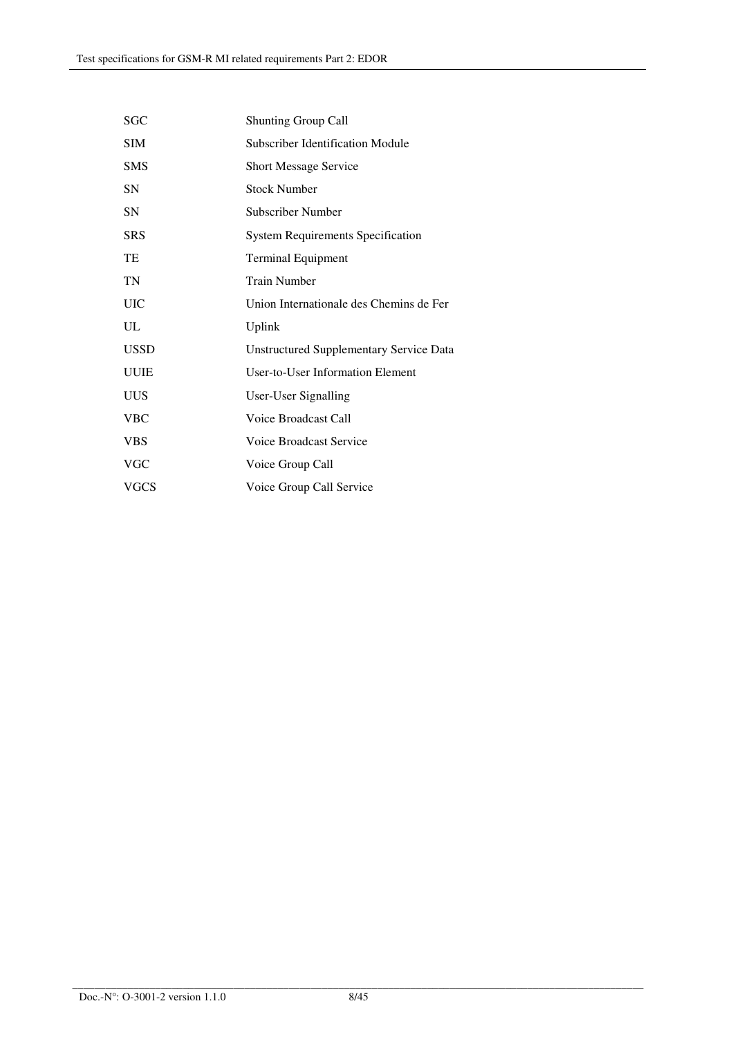| SGC         | <b>Shunting Group Call</b>                     |
|-------------|------------------------------------------------|
| <b>SIM</b>  | Subscriber Identification Module               |
| <b>SMS</b>  | <b>Short Message Service</b>                   |
| SN          | <b>Stock Number</b>                            |
| <b>SN</b>   | Subscriber Number                              |
| <b>SRS</b>  | <b>System Requirements Specification</b>       |
| TE          | <b>Terminal Equipment</b>                      |
| TN          | <b>Train Number</b>                            |
| UIC         | Union Internationale des Chemins de Fer        |
| UL          | Uplink                                         |
| USSD        | <b>Unstructured Supplementary Service Data</b> |
| <b>UUIE</b> | User-to-User Information Element               |
| UUS         | User-User Signalling                           |
| <b>VBC</b>  | Voice Broadcast Call                           |
| <b>VBS</b>  | Voice Broadcast Service                        |
| <b>VGC</b>  | Voice Group Call                               |
| VGCS        | Voice Group Call Service                       |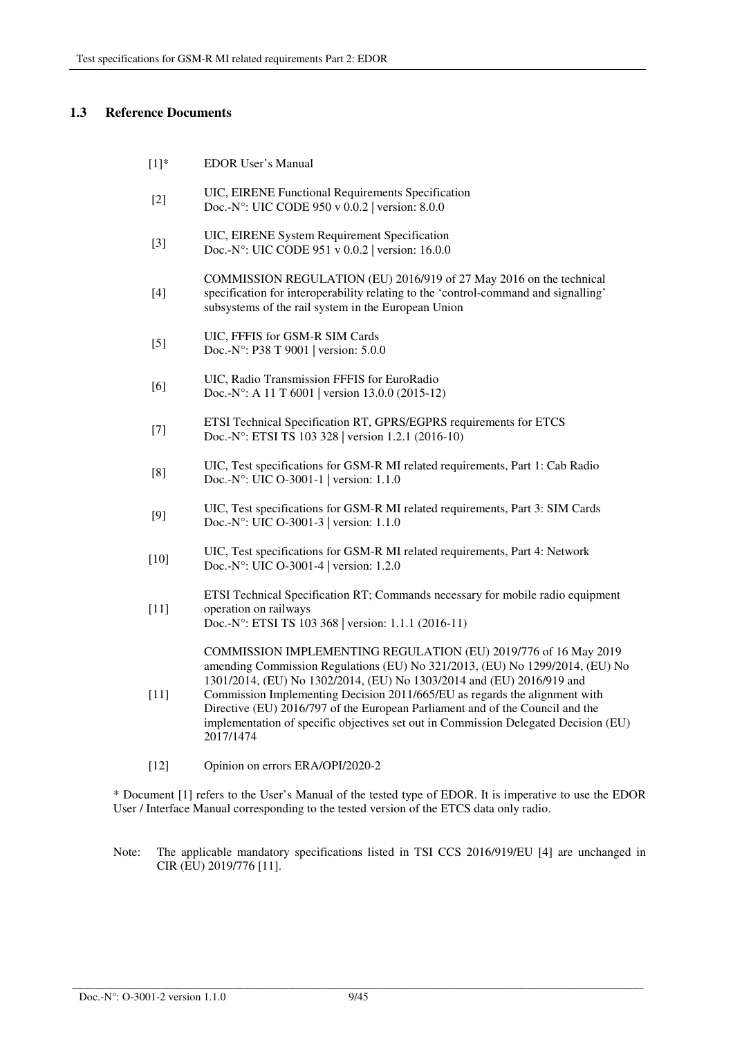## **1.3 Reference Documents**

| $[1]^{*}$ | <b>EDOR User's Manual</b> |
|-----------|---------------------------|
|           |                           |

- [2] UIC, EIRENE Functional Requirements Specification Doc.-N°: UIC CODE 950 v 0.0.2 | version: 8.0.0
- [3] UIC, EIRENE System Requirement Specification Doc.-N°: UIC CODE 951 v 0.0.2 | version: 16.0.0
- [4] COMMISSION REGULATION (EU) 2016/919 of 27 May 2016 on the technical specification for interoperability relating to the 'control-command and signalling' subsystems of the rail system in the European Union
- [5] UIC, FFFIS for GSM-R SIM Cards Doc.-N°: P38 T 9001 | version: 5.0.0
- [6] UIC, Radio Transmission FFFIS for EuroRadio Doc.-N°: A 11 T 6001 | version 13.0.0 (2015-12)
- ETSI Technical Specification RT, GPRS/EGPRS requirements for ETCS Doc.-N°: ETSI TS 103 328 | version 1.2.1 (2016-10)
- [8] UIC, Test specifications for GSM-R MI related requirements, Part 1: Cab Radio Doc.-N°: UIC O-3001-1 | version: 1.1.0
- [9] UIC, Test specifications for GSM-R MI related requirements, Part 3: SIM Cards Doc.-N°: UIC O-3001-3 | version: 1.1.0
- [10] UIC, Test specifications for GSM-R MI related requirements, Part 4: Network Doc.-N°: UIC O-3001-4 | version: 1.2.0

ETSI Technical Specification RT; Commands necessary for mobile radio equipment operation on railways Doc.-N°: ETSI TS 103 368 | version: 1.1.1 (2016-11)

COMMISSION IMPLEMENTING REGULATION (EU) 2019/776 of 16 May 2019 amending Commission Regulations (EU) No 321/2013, (EU) No 1299/2014, (EU) No 1301/2014, (EU) No 1302/2014, (EU) No 1303/2014 and (EU) 2016/919 and

- [11] Commission Implementing Decision 2011/665/EU as regards the alignment with Directive (EU) 2016/797 of the European Parliament and of the Council and the implementation of specific objectives set out in Commission Delegated Decision (EU) 2017/1474
- [12] Opinion on errors ERA/OPI/2020-2

\* Document [1] refers to the User's Manual of the tested type of EDOR. It is imperative to use the EDOR User / Interface Manual corresponding to the tested version of the ETCS data only radio.

Note: The applicable mandatory specifications listed in TSI CCS 2016/919/EU [4] are unchanged in CIR (EU) 2019/776 [11].

[11]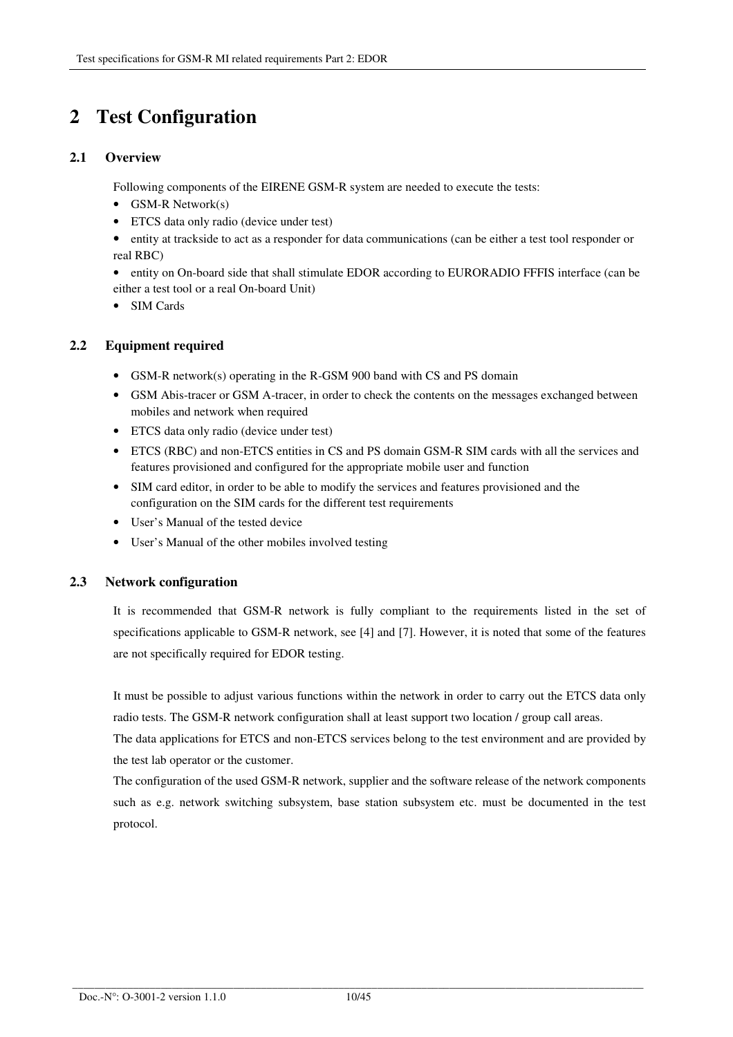# **2 Test Configuration**

## **2.1 Overview**

Following components of the EIRENE GSM-R system are needed to execute the tests:

- GSM-R Network(s)
- ETCS data only radio (device under test)
- entity at trackside to act as a responder for data communications (can be either a test tool responder or real RBC)
- entity on On-board side that shall stimulate EDOR according to EURORADIO FFFIS interface (can be either a test tool or a real On-board Unit)
- SIM Cards

#### **2.2 Equipment required**

- GSM-R network(s) operating in the R-GSM 900 band with CS and PS domain
- GSM Abis-tracer or GSM A-tracer, in order to check the contents on the messages exchanged between mobiles and network when required
- ETCS data only radio (device under test)
- ETCS (RBC) and non-ETCS entities in CS and PS domain GSM-R SIM cards with all the services and features provisioned and configured for the appropriate mobile user and function
- SIM card editor, in order to be able to modify the services and features provisioned and the configuration on the SIM cards for the different test requirements
- User's Manual of the tested device
- User's Manual of the other mobiles involved testing

#### **2.3 Network configuration**

It is recommended that GSM-R network is fully compliant to the requirements listed in the set of specifications applicable to GSM-R network, see [4] and [7]. However, it is noted that some of the features are not specifically required for EDOR testing.

It must be possible to adjust various functions within the network in order to carry out the ETCS data only radio tests. The GSM-R network configuration shall at least support two location / group call areas.

The data applications for ETCS and non-ETCS services belong to the test environment and are provided by the test lab operator or the customer.

The configuration of the used GSM-R network, supplier and the software release of the network components such as e.g. network switching subsystem, base station subsystem etc. must be documented in the test protocol.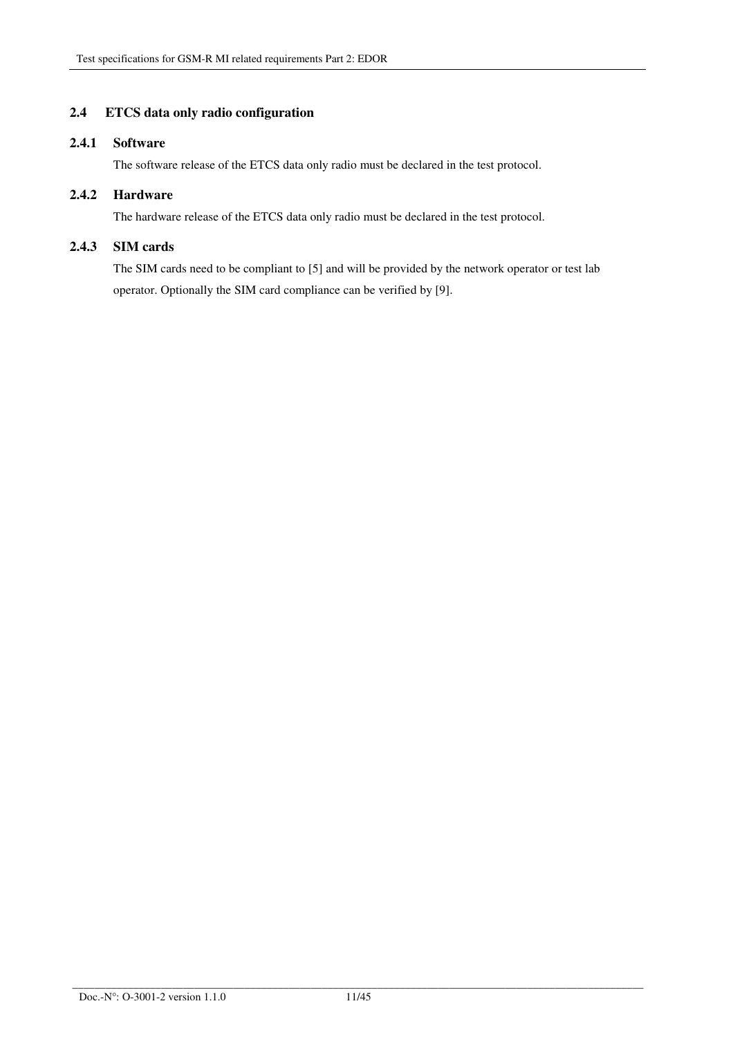## **2.4 ETCS data only radio configuration**

## **2.4.1 Software**

The software release of the ETCS data only radio must be declared in the test protocol.

#### **2.4.2 Hardware**

The hardware release of the ETCS data only radio must be declared in the test protocol.

### **2.4.3 SIM cards**

The SIM cards need to be compliant to [5] and will be provided by the network operator or test lab operator. Optionally the SIM card compliance can be verified by [9].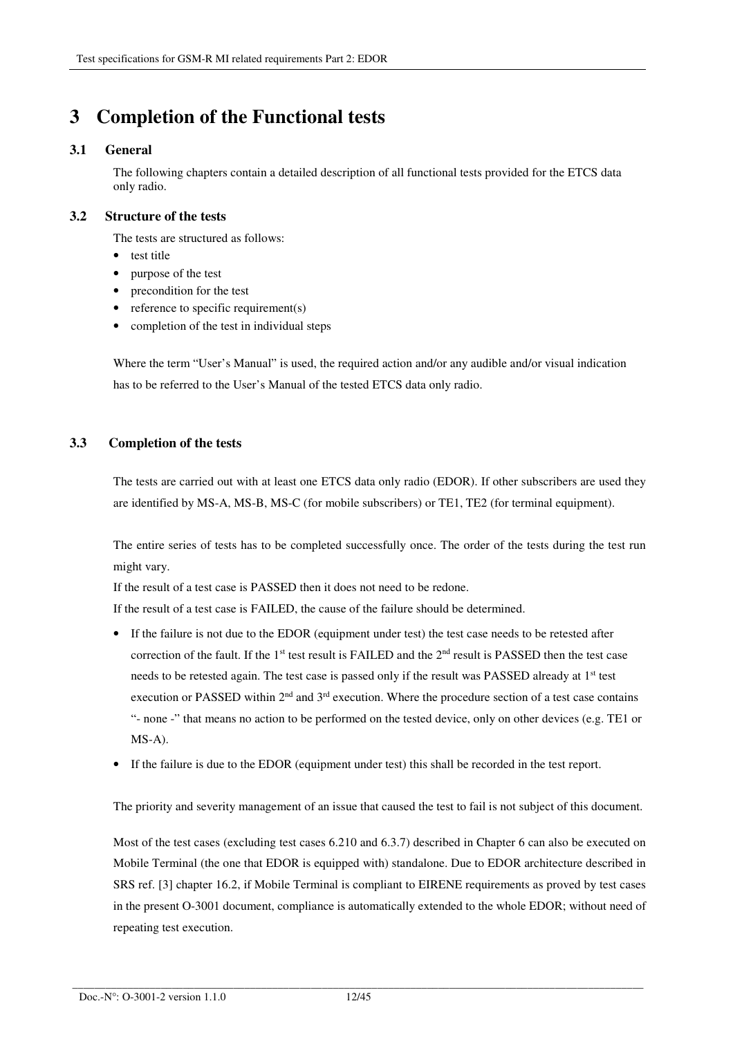# **3 Completion of the Functional tests**

## **3.1 General**

The following chapters contain a detailed description of all functional tests provided for the ETCS data only radio.

#### **3.2 Structure of the tests**

The tests are structured as follows:

- test title
- purpose of the test
- precondition for the test
- reference to specific requirement(s)
- completion of the test in individual steps

Where the term "User's Manual" is used, the required action and/or any audible and/or visual indication has to be referred to the User's Manual of the tested ETCS data only radio.

## **3.3 Completion of the tests**

The tests are carried out with at least one ETCS data only radio (EDOR). If other subscribers are used they are identified by MS-A, MS-B, MS-C (for mobile subscribers) or TE1, TE2 (for terminal equipment).

The entire series of tests has to be completed successfully once. The order of the tests during the test run might vary.

If the result of a test case is PASSED then it does not need to be redone.

If the result of a test case is FAILED, the cause of the failure should be determined.

- If the failure is not due to the EDOR (equipment under test) the test case needs to be retested after correction of the fault. If the 1<sup>st</sup> test result is FAILED and the 2<sup>nd</sup> result is PASSED then the test case needs to be retested again. The test case is passed only if the result was PASSED already at 1<sup>st</sup> test execution or PASSED within  $2<sup>nd</sup>$  and  $3<sup>rd</sup>$  execution. Where the procedure section of a test case contains "- none -" that means no action to be performed on the tested device, only on other devices (e.g. TE1 or MS-A).
- If the failure is due to the EDOR (equipment under test) this shall be recorded in the test report.

The priority and severity management of an issue that caused the test to fail is not subject of this document.

Most of the test cases (excluding test cases 6.210 and 6.3.7) described in Chapter 6 can also be executed on Mobile Terminal (the one that EDOR is equipped with) standalone. Due to EDOR architecture described in SRS ref. [3] chapter 16.2, if Mobile Terminal is compliant to EIRENE requirements as proved by test cases in the present O-3001 document, compliance is automatically extended to the whole EDOR; without need of repeating test execution.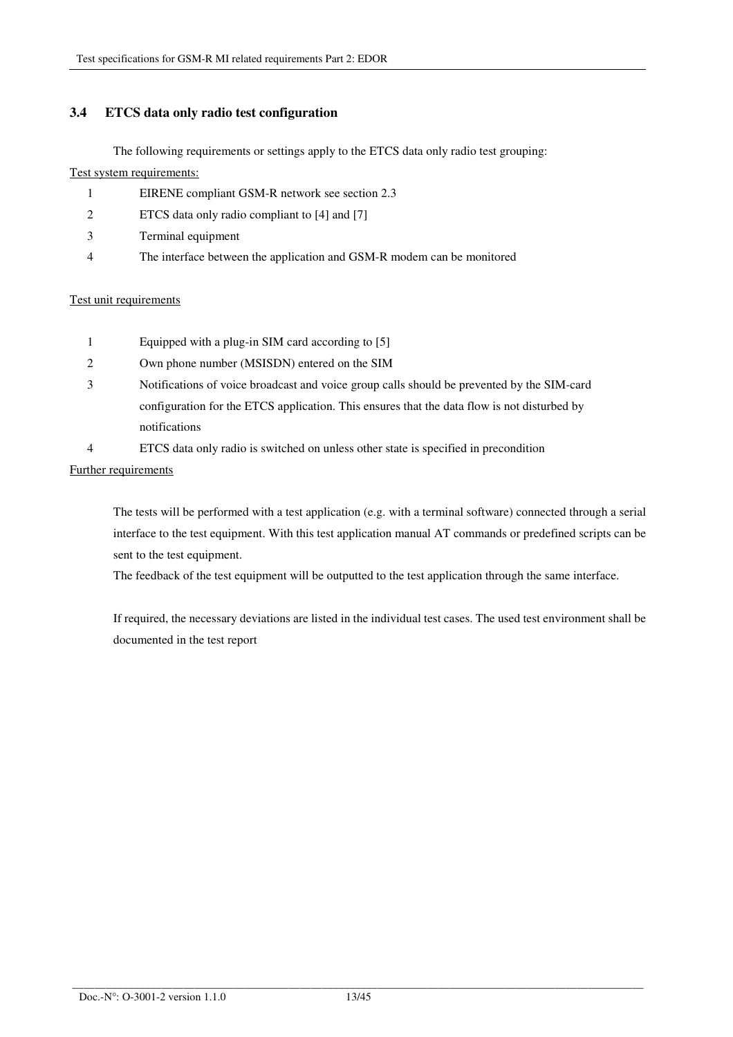## **3.4 ETCS data only radio test configuration**

The following requirements or settings apply to the ETCS data only radio test grouping:

#### Test system requirements:

- 1 EIRENE compliant GSM-R network see section 2.3
- 2 ETCS data only radio compliant to [4] and [7]
- 3 Terminal equipment
- 4 The interface between the application and GSM-R modem can be monitored

#### Test unit requirements

- 1 Equipped with a plug-in SIM card according to [5]
- 2 Own phone number (MSISDN) entered on the SIM
- 3 Notifications of voice broadcast and voice group calls should be prevented by the SIM-card configuration for the ETCS application. This ensures that the data flow is not disturbed by notifications
- 4 ETCS data only radio is switched on unless other state is specified in precondition

#### Further requirements

The tests will be performed with a test application (e.g. with a terminal software) connected through a serial interface to the test equipment. With this test application manual AT commands or predefined scripts can be sent to the test equipment.

The feedback of the test equipment will be outputted to the test application through the same interface.

If required, the necessary deviations are listed in the individual test cases. The used test environment shall be documented in the test report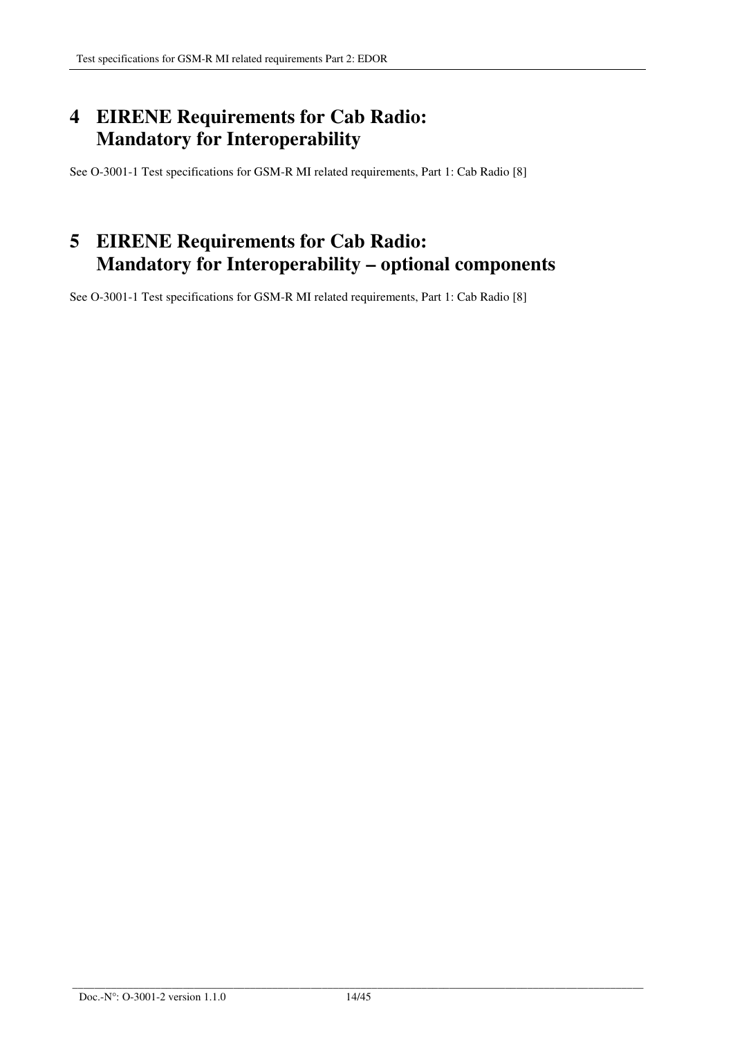# **4 EIRENE Requirements for Cab Radio: Mandatory for Interoperability**

See O-3001-1 Test specifications for GSM-R MI related requirements, Part 1: Cab Radio [8]

# **5 EIRENE Requirements for Cab Radio: Mandatory for Interoperability – optional components**

See O-3001-1 Test specifications for GSM-R MI related requirements, Part 1: Cab Radio [8]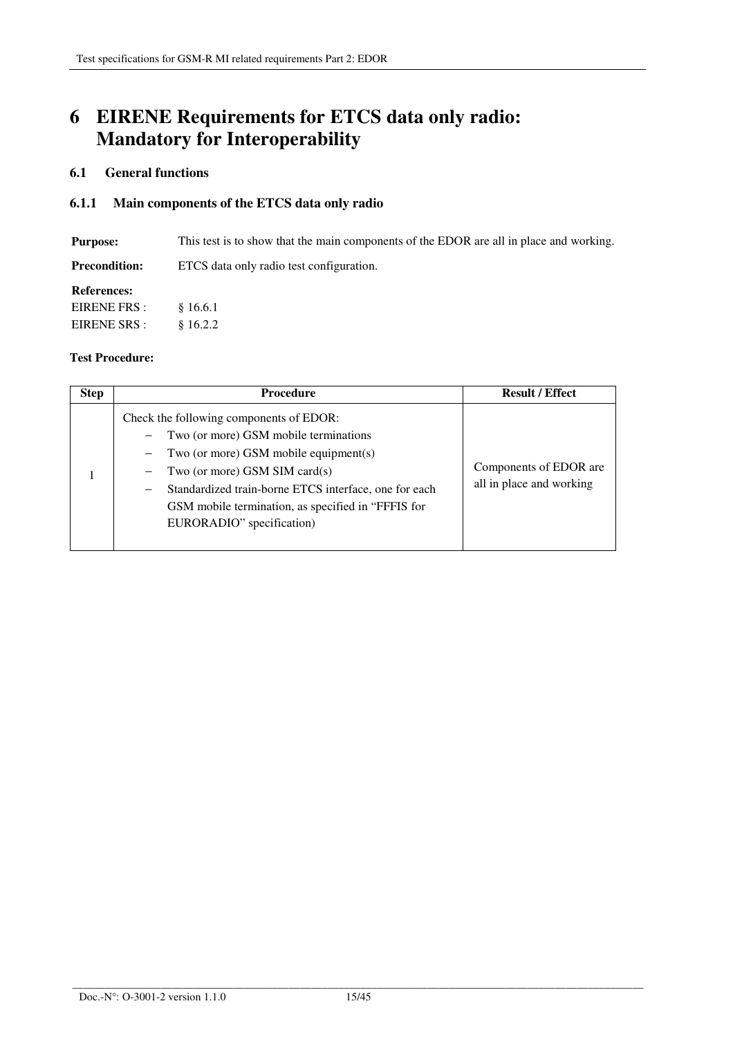# **6 EIRENE Requirements for ETCS data only radio: Mandatory for Interoperability**

## **6.1 General functions**

## **6.1.1 Main components of the ETCS data only radio**

**Purpose:** This test is to show that the main components of the EDOR are all in place and working.

**Precondition:** ETCS data only radio test configuration.

#### **References:**

| EIRENE FRS:  | \$16.6.1 |
|--------------|----------|
| EIRENE SRS : | \$16.2.2 |

| <b>Step</b> | <b>Procedure</b>                                                                                                                                                                                                                                                                                                                   | <b>Result / Effect</b>                             |
|-------------|------------------------------------------------------------------------------------------------------------------------------------------------------------------------------------------------------------------------------------------------------------------------------------------------------------------------------------|----------------------------------------------------|
|             | Check the following components of EDOR:<br>Two (or more) GSM mobile terminations<br>Two (or more) GSM mobile equipment(s)<br>Two (or more) GSM SIM card(s)<br>Standardized train-borne ETCS interface, one for each<br>$\overline{\phantom{m}}$<br>GSM mobile termination, as specified in "FFFIS for<br>EURORADIO" specification) | Components of EDOR are<br>all in place and working |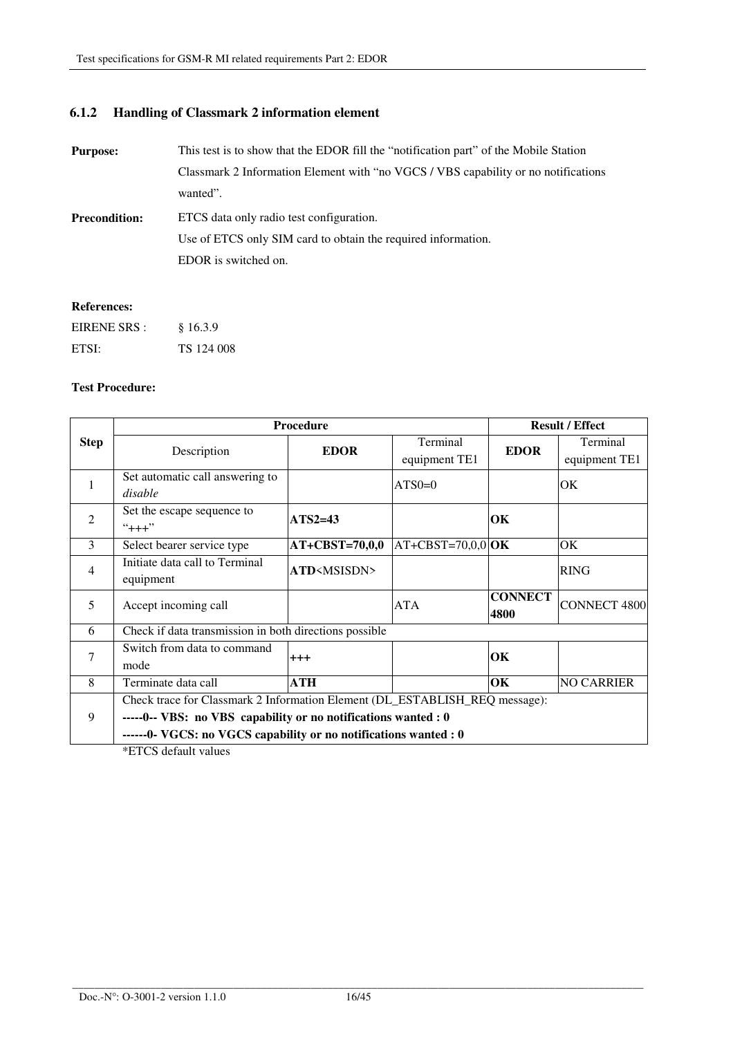# **6.1.2 Handling of Classmark 2 information element**

| <b>Purpose:</b>      | This test is to show that the EDOR fill the "notification part" of the Mobile Station |
|----------------------|---------------------------------------------------------------------------------------|
|                      | Classmark 2 Information Element with "no VGCS / VBS capability or no notifications"   |
|                      | wanted".                                                                              |
| <b>Precondition:</b> | ETCS data only radio test configuration.                                              |
|                      | Use of ETCS only SIM card to obtain the required information.                         |
|                      | EDOR is switched on.                                                                  |
|                      |                                                                                       |

## **References:**

| EIRENE SRS : | §16.3.9    |
|--------------|------------|
| ETSI:        | TS 124 008 |

#### **Test Procedure:**

| Procedure                                                                   |                                     |                                                                                                                                      | <b>Result / Effect</b> |                                                |
|-----------------------------------------------------------------------------|-------------------------------------|--------------------------------------------------------------------------------------------------------------------------------------|------------------------|------------------------------------------------|
|                                                                             |                                     | Terminal                                                                                                                             |                        | Terminal                                       |
|                                                                             |                                     | equipment TE1                                                                                                                        |                        | equipment TE1                                  |
| Set automatic call answering to                                             |                                     |                                                                                                                                      |                        | <b>OK</b>                                      |
| disable                                                                     |                                     |                                                                                                                                      |                        |                                                |
| Set the escape sequence to                                                  |                                     |                                                                                                                                      |                        |                                                |
| $"+++"$                                                                     |                                     |                                                                                                                                      |                        |                                                |
| Select bearer service type                                                  | $AT+CBST=70,0,0$                    |                                                                                                                                      |                        | <b>OK</b>                                      |
| Initiate data call to Terminal                                              |                                     |                                                                                                                                      |                        | <b>RING</b>                                    |
| equipment                                                                   |                                     |                                                                                                                                      |                        |                                                |
|                                                                             |                                     |                                                                                                                                      | <b>CONNECT</b>         | <b>CONNECT 4800</b>                            |
|                                                                             |                                     |                                                                                                                                      | 4800                   |                                                |
|                                                                             |                                     |                                                                                                                                      |                        |                                                |
| Switch from data to command                                                 |                                     |                                                                                                                                      |                        |                                                |
| mode                                                                        |                                     |                                                                                                                                      |                        |                                                |
| Terminate data call                                                         | <b>ATH</b>                          |                                                                                                                                      | OK                     | <b>NO CARRIER</b>                              |
| Check trace for Classmark 2 Information Element (DL_ESTABLISH_REQ message): |                                     |                                                                                                                                      |                        |                                                |
| -----0-- VBS: no VBS capability or no notifications wanted : 0<br>9         |                                     |                                                                                                                                      |                        |                                                |
| ------0- VGCS: no VGCS capability or no notifications wanted : 0            |                                     |                                                                                                                                      |                        |                                                |
|                                                                             | Description<br>Accept incoming call | <b>EDOR</b><br>$ATS2=43$<br>ATD <msisdn><br/>Check if data transmission in both directions possible<br/><math>^{+++}</math></msisdn> | $ATS0=0$<br>ATA        | <b>EDOR</b><br>OК<br>$AT+CBST=70,0,0$ OK<br>OК |

\*ETCS default values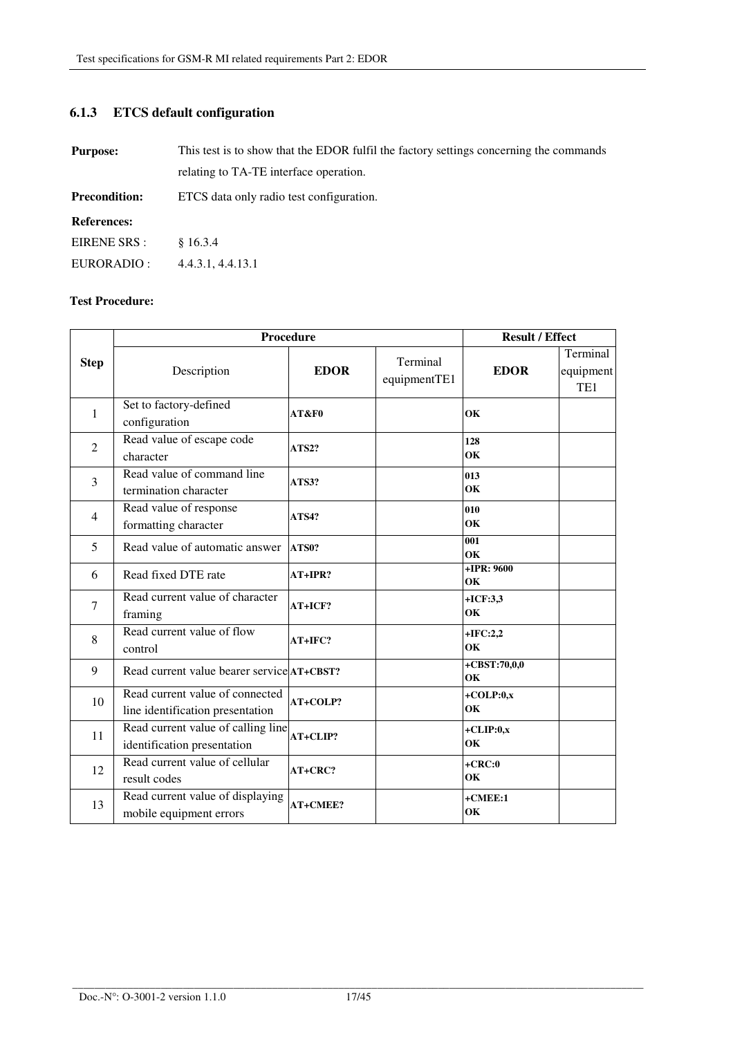# **6.1.3 ETCS default configuration**

| <b>Purpose:</b>      | This test is to show that the EDOR fulfil the factory settings concerning the commands |  |
|----------------------|----------------------------------------------------------------------------------------|--|
|                      | relating to TA-TE interface operation.                                                 |  |
| <b>Precondition:</b> | ETCS data only radio test configuration.                                               |  |
| <b>References:</b>   |                                                                                        |  |
| EIRENE SRS :         | \$16.3.4                                                                               |  |
| EURORADIO :          | 4.4.3.1, 4.4.13.1                                                                      |  |

|                | Procedure                                                           |              |                          | <b>Result / Effect</b> |                                          |
|----------------|---------------------------------------------------------------------|--------------|--------------------------|------------------------|------------------------------------------|
| <b>Step</b>    | Description                                                         | <b>EDOR</b>  | Terminal<br>equipmentTE1 | <b>EDOR</b>            | Terminal<br>equipment<br>TE <sub>1</sub> |
| $\mathbf{1}$   | Set to factory-defined<br>configuration                             | AT&F0        |                          | OK                     |                                          |
| 2              | Read value of escape code<br>character                              | <b>ATS2?</b> |                          | 128<br>OK              |                                          |
| 3              | Read value of command line<br>termination character                 | ATS3?        |                          | 013<br>OK              |                                          |
| $\overline{4}$ | Read value of response<br>formatting character                      | <b>ATS4?</b> |                          | 010<br>OK              |                                          |
| 5              | Read value of automatic answer                                      | ATS0?        |                          | 001<br>OK              |                                          |
| 6              | Read fixed DTE rate                                                 | $AT+IPR?$    |                          | $+IPR: 9600$<br>OK     |                                          |
| $\overline{7}$ | Read current value of character<br>framing                          | AT+ICF?      |                          | $+ICF:3,3$<br>OK       |                                          |
| 8              | Read current value of flow<br>control                               | AT+IFC?      |                          | $+IFC:2,2$<br>OK       |                                          |
| 9              | Read current value bearer service AT+CBST?                          |              |                          | $+CBST:70,0,0$<br>OK   |                                          |
| 10             | Read current value of connected<br>line identification presentation | AT+COLP?     |                          | $+COLP:0,x$<br>OK      |                                          |
| 11             | Read current value of calling line<br>identification presentation   | AT+CLIP?     |                          | $+CLIP:0,x$<br>OK      |                                          |
| 12             | Read current value of cellular<br>result codes                      | AT+CRC?      |                          | $+CRC:0$<br>OK         |                                          |
| 13             | Read current value of displaying<br>mobile equipment errors         | AT+CMEE?     |                          | $+$ CMEE:1<br>OK       |                                          |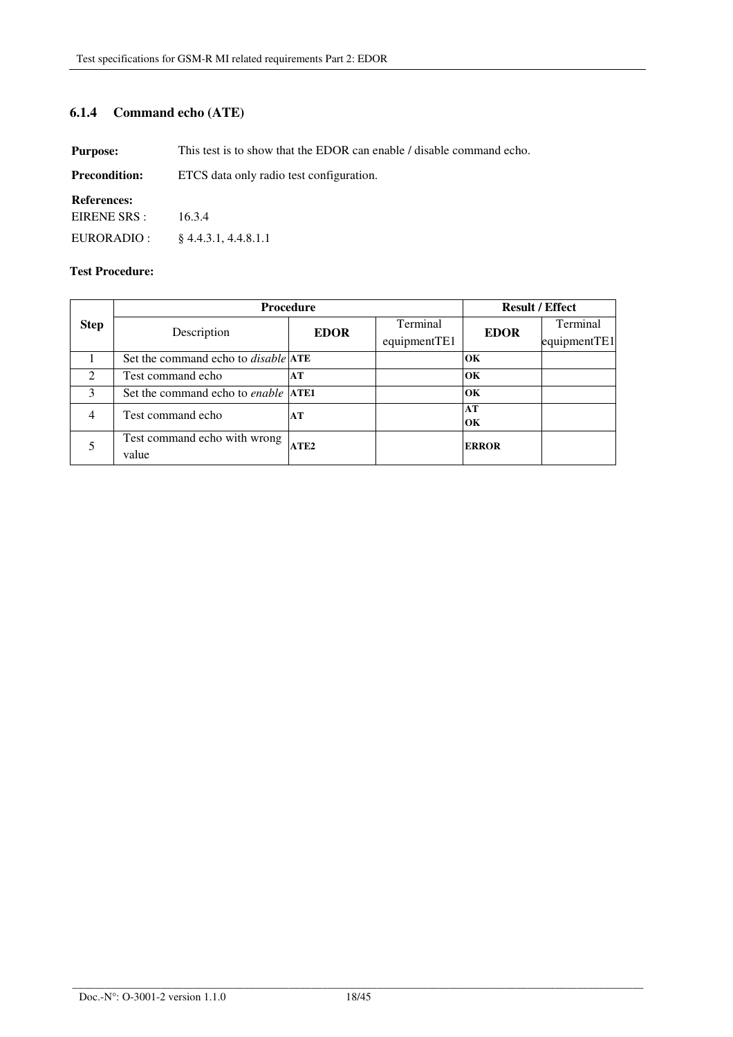## **6.1.4 Command echo (ATE)**

**Purpose:** This test is to show that the EDOR can enable / disable command echo.

| <b>Precondition:</b> | ETCS data only radio test configuration. |  |
|----------------------|------------------------------------------|--|
|----------------------|------------------------------------------|--|

#### **References:**

EIRENE SRS : 16.3.4

EURORADIO : § 4.4.3.1, 4.4.8.1.1

|                | <b>Procedure</b>                                  |              |          | <b>Result / Effect</b> |              |
|----------------|---------------------------------------------------|--------------|----------|------------------------|--------------|
| <b>Step</b>    | Description                                       | <b>EDOR</b>  | Terminal | <b>EDOR</b>            | Terminal     |
|                |                                                   | equipmentTE1 |          |                        | equipmentTE1 |
|                | Set the command echo to <i>disable</i> <b>ATE</b> |              |          | OК                     |              |
| $\mathfrak{D}$ | Test command echo                                 | AT           |          | OK                     |              |
| 3              | Set the command echo to <i>enable</i> <b>ATE1</b> |              |          | OК                     |              |
| $\overline{4}$ | Test command echo                                 | AT           |          | AT                     |              |
|                |                                                   |              |          | OК                     |              |
|                | Test command echo with wrong                      | ATE2         |          | <b>ERROR</b>           |              |
|                | value                                             |              |          |                        |              |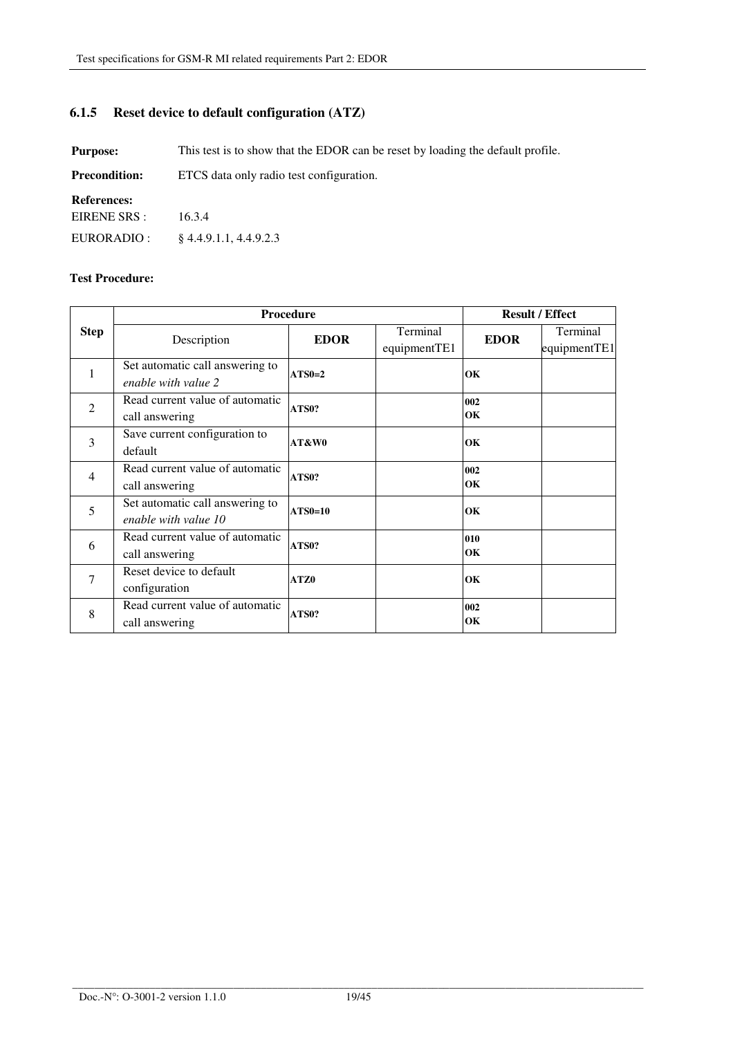# **6.1.5 Reset device to default configuration (ATZ)**

**Purpose:** This test is to show that the EDOR can be reset by loading the default profile.

| <b>Precondition:</b> | ETCS data only radio test configuration. |
|----------------------|------------------------------------------|
|----------------------|------------------------------------------|

### **References:**

EIRENE SRS : EURORADIO : 16.3.4 § 4.4.9.1.1, 4.4.9.2.3

|                | Procedure                       |                |              | <b>Result / Effect</b> |              |
|----------------|---------------------------------|----------------|--------------|------------------------|--------------|
| <b>Step</b>    | Description                     | <b>EDOR</b>    | Terminal     | <b>EDOR</b>            | Terminal     |
|                |                                 |                | equipmentTE1 |                        | equipmentTE1 |
| 1              | Set automatic call answering to | $ATS0=2$       |              | OK                     |              |
|                | enable with value 2             |                |              |                        |              |
| $\overline{2}$ | Read current value of automatic | ATS0?          |              | 002                    |              |
|                | call answering                  |                |              | OK                     |              |
| 3              | Save current configuration to   | AT&W0          |              | OK                     |              |
|                | default                         |                |              |                        |              |
| $\overline{4}$ | Read current value of automatic | ATS0?          |              | 002                    |              |
|                | call answering                  |                |              | OК                     |              |
| 5              | Set automatic call answering to | <b>ATS0=10</b> |              | OK                     |              |
|                | enable with value 10            |                |              |                        |              |
| 6              | Read current value of automatic | ATS0?          |              | 010                    |              |
|                | call answering                  |                |              | OK                     |              |
| 7              | Reset device to default         | ATZ0           |              | OK                     |              |
|                | configuration                   |                |              |                        |              |
| 8              | Read current value of automatic | ATS0?          |              | 002                    |              |
|                | call answering                  |                |              | OK                     |              |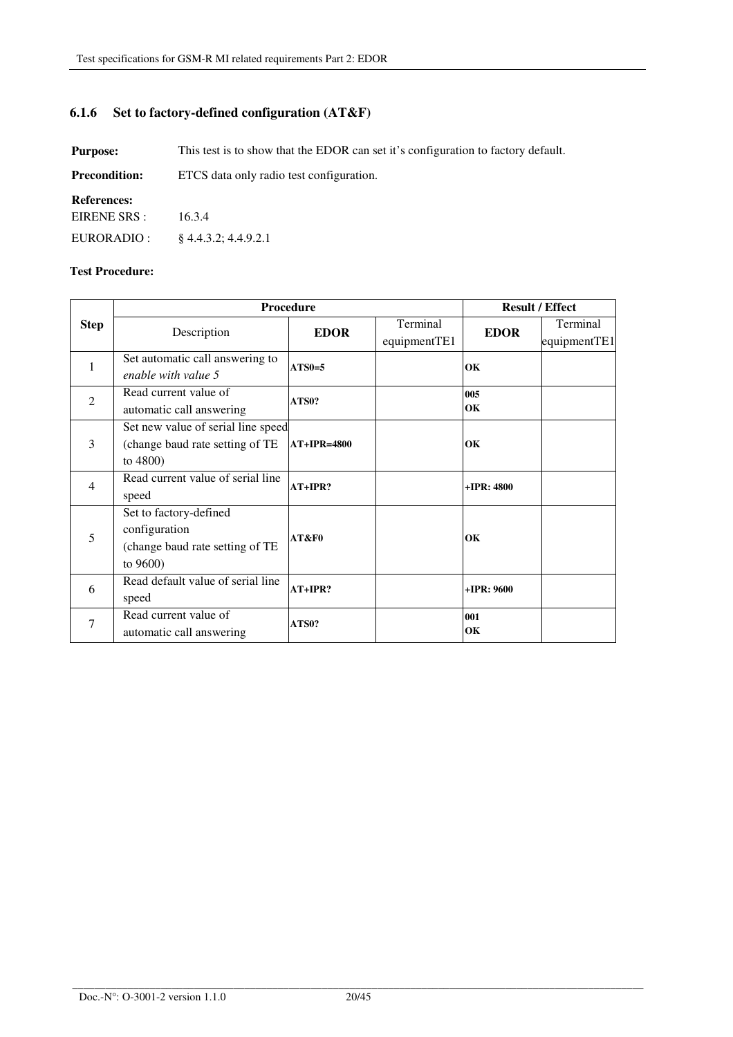# **6.1.6 Set to factory-defined configuration (AT&F)**

**Purpose:** This test is to show that the EDOR can set it's configuration to factory default.

| <b>Precondition:</b> | ETCS data only radio test configuration. |
|----------------------|------------------------------------------|
|----------------------|------------------------------------------|

#### **References:**

EIRENE SRS : 16.3.4

EURORADIO : § 4.4.3.2; 4.4.9.2.1

|                | Procedure                          |               |              | <b>Result / Effect</b> |              |
|----------------|------------------------------------|---------------|--------------|------------------------|--------------|
| <b>Step</b>    | Description                        | <b>EDOR</b>   | Terminal     | <b>EDOR</b>            | Terminal     |
|                |                                    |               | equipmentTE1 |                        | equipmentTE1 |
| 1              | Set automatic call answering to    | $ATS0=5$      |              | OK                     |              |
|                | enable with value 5                |               |              |                        |              |
| $\overline{2}$ | Read current value of              | ATS0?         |              | 005                    |              |
|                | automatic call answering           |               |              | OK                     |              |
|                | Set new value of serial line speed |               |              |                        |              |
| 3              | (change baud rate setting of TE    | $AT+IPR=4800$ |              | OK                     |              |
|                | to $4800$ )                        |               |              |                        |              |
| $\overline{4}$ | Read current value of serial line  | $AT+IPR?$     |              | $+IPR:4800$            |              |
|                | speed                              |               |              |                        |              |
|                | Set to factory-defined             |               |              |                        |              |
| 5              | configuration                      | AT&F0         |              | OK                     |              |
|                | (change baud rate setting of TE    |               |              |                        |              |
|                | to $9600$ )                        |               |              |                        |              |
| 6              | Read default value of serial line  | $AT+IPR?$     |              | $+IPR: 9600$           |              |
|                | speed                              |               |              |                        |              |
| $\overline{7}$ | Read current value of              | ATS0?         | 001          |                        |              |
|                | automatic call answering           |               |              | OK                     |              |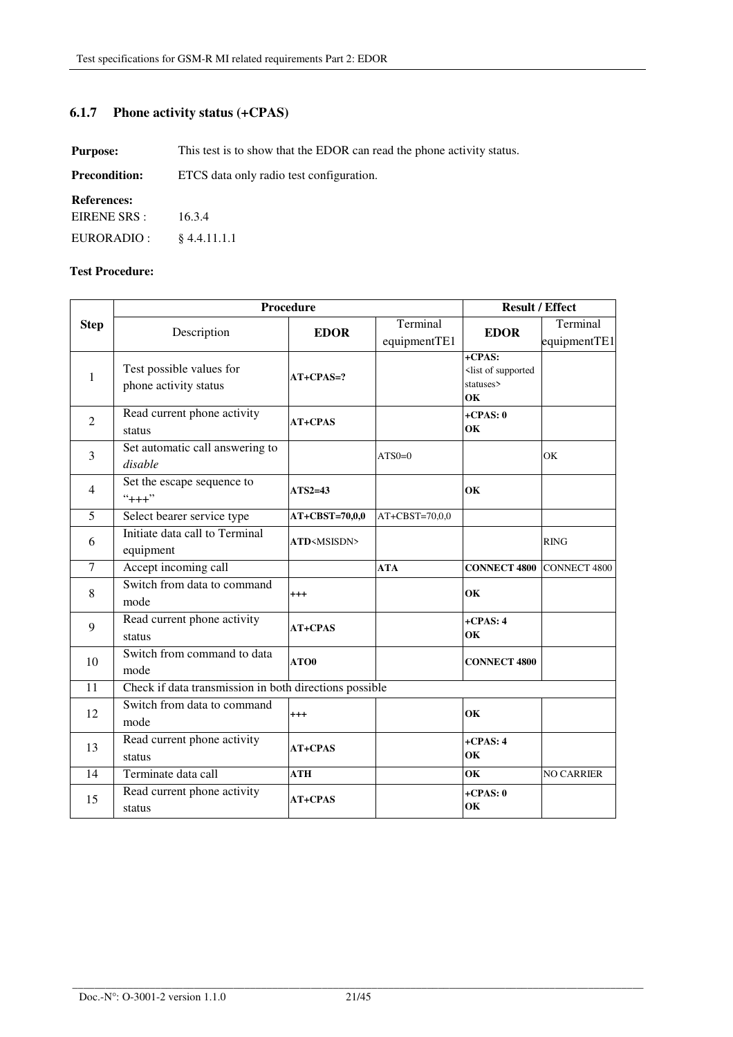# **6.1.7 Phone activity status (+CPAS)**

**Purpose:** This test is to show that the EDOR can read the phone activity status.

| <b>Precondition:</b> | ETCS data only radio test configuration. |
|----------------------|------------------------------------------|
|----------------------|------------------------------------------|

#### **References:**

| EIRENE SRS : | 16.3.4         |
|--------------|----------------|
| EURORADIO :  | $§$ 4.4.11.1.1 |

|             | Procedure                                              |                       | <b>Result / Effect</b> |                                                                  |                   |
|-------------|--------------------------------------------------------|-----------------------|------------------------|------------------------------------------------------------------|-------------------|
| <b>Step</b> | Description                                            | <b>EDOR</b>           | Terminal               | <b>EDOR</b>                                                      | Terminal          |
|             |                                                        |                       | equipmentTE1           |                                                                  | equipmentTE1      |
| 1           | Test possible values for<br>phone activity status      | $AT+CPAS=?$           |                        | +CPAS:<br><list of="" supported<br="">statuses&gt;<br/>OK</list> |                   |
| 2           | Read current phone activity<br>status                  | <b>AT+CPAS</b>        |                        | $+CPAS:0$<br>OK                                                  |                   |
| 3           | Set automatic call answering to<br>disable             |                       | $ATSO=0$               |                                                                  | OK                |
| 4           | Set the escape sequence to<br>$``+++"$                 | $ATS2=43$             |                        | OK                                                               |                   |
| 5           | Select bearer service type                             | $AT+CBST=70,0,0$      | $AT+CBST=70,0,0$       |                                                                  |                   |
| 6           | Initiate data call to Terminal<br>equipment            | ATD <msisdn></msisdn> |                        |                                                                  | <b>RING</b>       |
| $\tau$      | Accept incoming call                                   |                       | <b>ATA</b>             | <b>CONNECT 4800 CONNECT 4800</b>                                 |                   |
| 8           | Switch from data to command<br>mode                    | $^{+++}$              |                        | OК                                                               |                   |
| 9           | Read current phone activity<br>status                  | AT+CPAS               |                        | $+CPAS: 4$<br>OK                                                 |                   |
| 10          | Switch from command to data<br>mode                    | ATO0                  |                        | <b>CONNECT 4800</b>                                              |                   |
| 11          | Check if data transmission in both directions possible |                       |                        |                                                                  |                   |
| 12          | Switch from data to command<br>mode                    | $^{+++}$              |                        | OK                                                               |                   |
| 13          | Read current phone activity<br>status                  | <b>AT+CPAS</b>        |                        | $+CPAS: 4$<br>OK                                                 |                   |
| 14          | Terminate data call                                    | <b>ATH</b>            |                        | OK                                                               | <b>NO CARRIER</b> |
| 15          | Read current phone activity<br>status                  | <b>AT+CPAS</b>        |                        | $+CPAS:0$<br>OК                                                  |                   |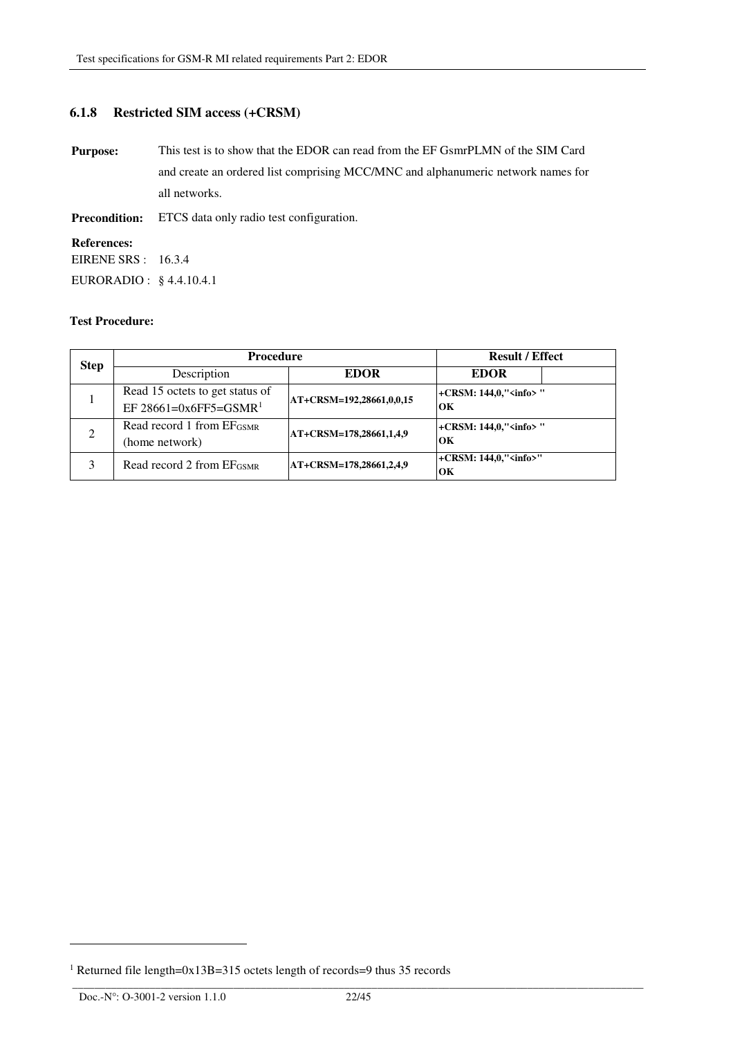## **6.1.8 Restricted SIM access (+CRSM)**

**Purpose:** This test is to show that the EDOR can read from the EF GsmrPLMN of the SIM Card and create an ordered list comprising MCC/MNC and alphanumeric network names for all networks. **Precondition:** ETCS data only radio test configuration.

**References:**  EIRENE SRS : 16.3.4

EURORADIO : § 4.4.10.4.1

#### **Test Procedure:**

| <b>Step</b>    | <b>Procedure</b>                      | <b>Result / Effect</b>   |                               |
|----------------|---------------------------------------|--------------------------|-------------------------------|
|                | Description                           | <b>EDOR</b>              | <b>EDOR</b>                   |
|                | Read 15 octets to get status of       | AT+CRSM=192,28661,0,0,15 | +CRSM: 144,0," <info>"</info> |
|                | EF 28661=0x6FF5=GSMR <sup>1</sup>     |                          | OК                            |
| $\mathfrak{D}$ | Read record 1 from $E_{\text{GSMR}}$  | AT+CRSM=178,28661,1,4,9  | +CRSM: 144,0," <info>"</info> |
|                | (home network)                        |                          | OК                            |
| 3              | Read record 2 from EF <sub>GSMR</sub> | AT+CRSM=178,28661,2,4,9  | +CRSM: 144,0," <info>"</info> |
|                |                                       |                          | OК                            |

l

<sup>&</sup>lt;sup>1</sup> Returned file length=0x13B=315 octets length of records=9 thus 35 records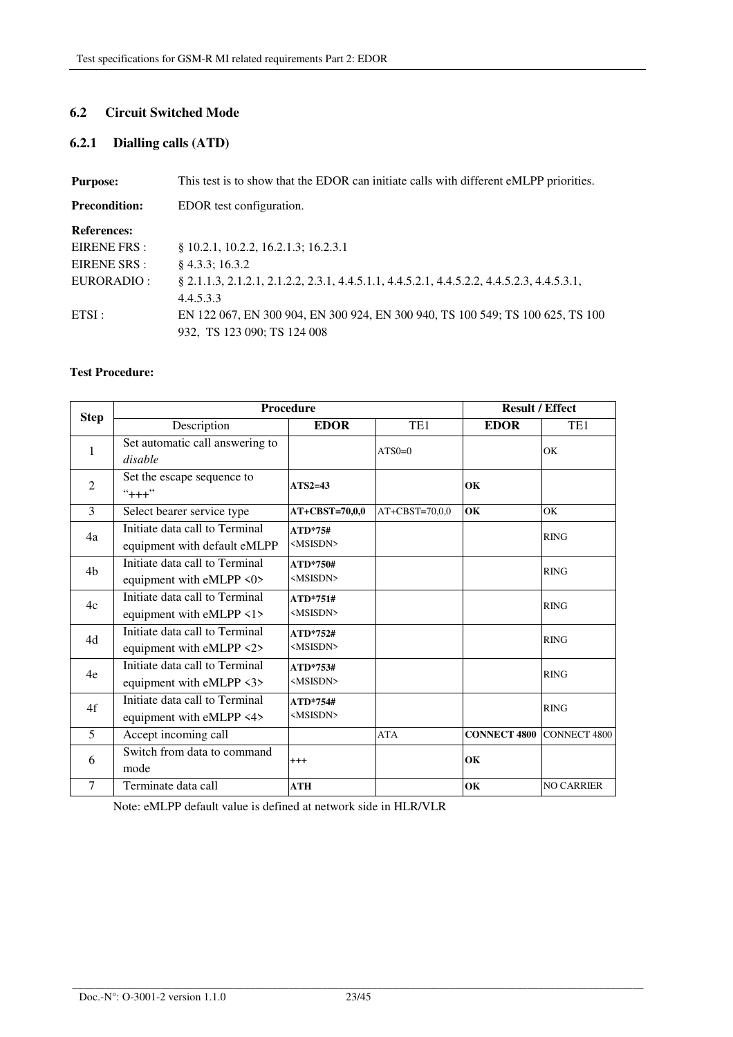## **6.2 Circuit Switched Mode**

## **6.2.1 Dialling calls (ATD)**

| <b>Purpose:</b>      | This test is to show that the EDOR can initiate calls with different eMLPP priorities.     |
|----------------------|--------------------------------------------------------------------------------------------|
| <b>Precondition:</b> | EDOR test configuration.                                                                   |
| <b>References:</b>   |                                                                                            |
| EIRENE FRS:          | § 10.2.1, 10.2.2, 16.2.1.3; 16.2.3.1                                                       |
| EIRENE SRS :         | $§$ 4.3.3; 16.3.2                                                                          |
| EURORADIO :          | 8 2.1.1.3, 2.1.2.1, 2.1.2.2, 2.3.1, 4.4.5.1.1, 4.4.5.2.1, 4.4.5.2.2, 4.4.5.2.3, 4.4.5.3.1, |
|                      | 4.4.5.3.3                                                                                  |
| ETSI:                | EN 122 067, EN 300 904, EN 300 924, EN 300 940, TS 100 549; TS 100 625, TS 100             |
|                      | 932. TS 123 090: TS 124 008                                                                |

### **Test Procedure:**

|                | Procedure                                                      |                                 |                      | <b>Result / Effect</b> |                     |
|----------------|----------------------------------------------------------------|---------------------------------|----------------------|------------------------|---------------------|
| <b>Step</b>    | Description                                                    | <b>EDOR</b>                     | TE <sub>1</sub>      | <b>EDOR</b>            | TE1                 |
| 1              | Set automatic call answering to<br>disable                     |                                 | $ATS0=0$             |                        | OK                  |
| $\overline{2}$ | Set the escape sequence to<br>$``++"$                          | $ATS2=43$                       |                      | OK                     |                     |
| 3              | Select bearer service type                                     | AT+CBST=70,0,0                  | $AT + CBST = 70,0,0$ | OK                     | OK                  |
| 4a             | Initiate data call to Terminal<br>equipment with default eMLPP | $ATD*75#$<br><msisdn></msisdn>  |                      |                        | <b>RING</b>         |
| 4 <sub>b</sub> | Initiate data call to Terminal<br>equipment with eMLPP <0>     | ATD*750#<br><msisdn></msisdn>   |                      |                        | <b>RING</b>         |
| 4c             | Initiate data call to Terminal<br>equipment with eMLPP <1>     | $ATD*751#$<br><msisdn></msisdn> |                      |                        | <b>RING</b>         |
| 4d             | Initiate data call to Terminal<br>equipment with eMLPP <2>     | ATD*752#<br><msisdn></msisdn>   |                      |                        | <b>RING</b>         |
| 4e             | Initiate data call to Terminal<br>equipment with eMLPP <3>     | ATD*753#<br><msisdn></msisdn>   |                      |                        | <b>RING</b>         |
| 4f             | Initiate data call to Terminal<br>equipment with eMLPP <4>     | ATD*754#<br><msisdn></msisdn>   |                      |                        | <b>RING</b>         |
| 5              | Accept incoming call                                           |                                 | <b>ATA</b>           | <b>CONNECT 4800</b>    | <b>CONNECT 4800</b> |
| 6              | Switch from data to command<br>mode                            | $^{+++}$                        |                      | OK                     |                     |
| 7              | Terminate data call                                            | <b>ATH</b>                      |                      | OK                     | <b>NO CARRIER</b>   |

Note: eMLPP default value is defined at network side in HLR/VLR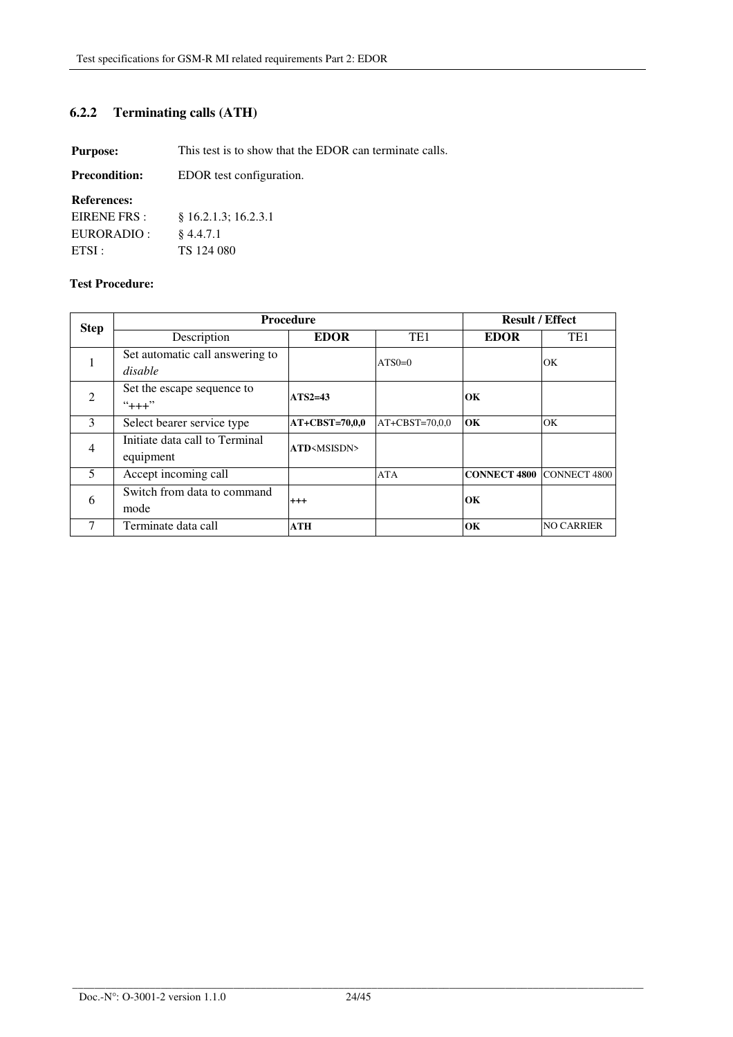# **6.2.2 Terminating calls (ATH)**

**Purpose:** This test is to show that the EDOR can terminate calls.

| EDOR test configuration. |
|--------------------------|
|                          |

### **References:**

| EIRENE FRS: | $§$ 16.2.1.3; 16.2.3.1 |
|-------------|------------------------|
| EURORADIO : | $§$ 4.4.7.1            |
| ETSI:       | TS 124 080             |

| <b>Step</b>    | <b>Procedure</b>                            |                              |                  | <b>Result / Effect</b> |                   |
|----------------|---------------------------------------------|------------------------------|------------------|------------------------|-------------------|
|                | Description                                 | <b>EDOR</b>                  | TE <sub>1</sub>  | <b>EDOR</b>            | TE <sub>1</sub>   |
|                | Set automatic call answering to<br>disable  |                              | $ATSO=0$         |                        | OK                |
| 2              | Set the escape sequence to<br>$``++"$       | $ATS2=43$                    |                  | OК                     |                   |
| $\mathcal{E}$  | Select bearer service type                  | <b>AT+CBST=70,0,0</b>        | $AT+CBST=70,0,0$ | OК                     | OK                |
| $\overline{4}$ | Initiate data call to Terminal<br>equipment | <b>ATD</b> <msisdn></msisdn> |                  |                        |                   |
| 5              | Accept incoming call                        |                              | <b>ATA</b>       | <b>CONNECT 4800</b>    | CONNECT 4800      |
| 6              | Switch from data to command<br>mode         | $^{++}$                      |                  | OК                     |                   |
|                | Terminate data call                         | <b>ATH</b>                   |                  | OK                     | <b>NO CARRIER</b> |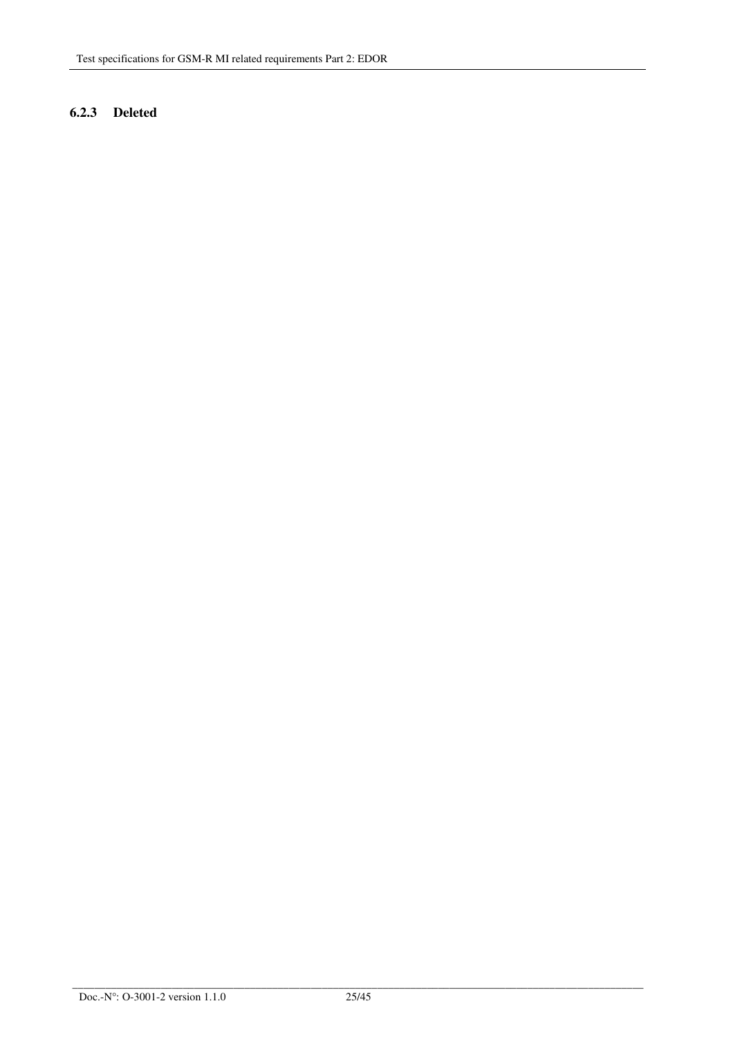## **6.2.3 Deleted**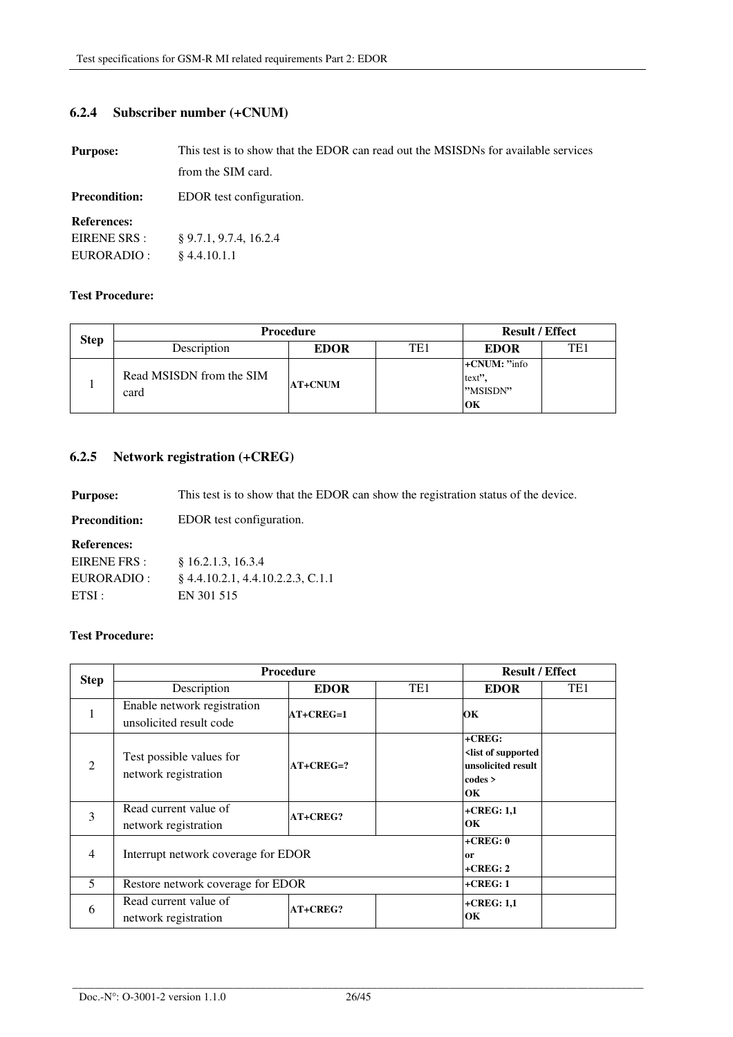## **6.2.4 Subscriber number (+CNUM)**

| <b>Purpose:</b>      | This test is to show that the EDOR can read out the MSISDNs for available services |  |
|----------------------|------------------------------------------------------------------------------------|--|
|                      | from the SIM card.                                                                 |  |
| <b>Precondition:</b> | EDOR test configuration.                                                           |  |
| <b>References:</b>   |                                                                                    |  |
| EIRENE SRS :         | $\S$ 9.7.1, 9.7.4, 16.2.4                                                          |  |
| EURORADIO :          | \$4.4.10.1.1                                                                       |  |

#### **Test Procedure:**

|             | <b>Procedure</b>                 |                |     | <b>Result / Effect</b>                     |     |
|-------------|----------------------------------|----------------|-----|--------------------------------------------|-----|
| <b>Step</b> | Description                      | <b>EDOR</b>    | TE1 | <b>EDOR</b>                                | TE1 |
|             | Read MSISDN from the SIM<br>card | <b>AT+CNUM</b> |     | $+CNUM: "info"$<br>text"<br>"MSISDN"<br>OК |     |

## **6.2.5 Network registration (+CREG)**

**Purpose:** This test is to show that the EDOR can show the registration status of the device.

| <b>Precondition:</b> | EDOR test configuration.            |
|----------------------|-------------------------------------|
| <b>References:</b>   |                                     |
| EIRENE FRS:          | $§$ 16.2.1.3, 16.3.4                |
| EURORADIO :          | $§$ 4.4.10.2.1, 4.4.10.2.2.3, C.1.1 |
| ETSI:                | EN 301 515                          |
|                      |                                     |

| <b>Step</b>    | <b>Procedure</b>                                 |             | <b>Result / Effect</b> |                                                                                         |                 |
|----------------|--------------------------------------------------|-------------|------------------------|-----------------------------------------------------------------------------------------|-----------------|
|                | Description                                      | <b>EDOR</b> | TE1                    | <b>EDOR</b>                                                                             | TE <sub>1</sub> |
|                | Enable network registration                      | $AT+CREG=1$ |                        | OК                                                                                      |                 |
|                | unsolicited result code                          |             |                        |                                                                                         |                 |
| $\mathcal{D}$  | Test possible values for<br>network registration | $AT+CREG=?$ |                        | $+CREG:$<br><list of="" supported<br="">unsolicited result<br/>codes &gt;<br/>OK</list> |                 |
| 3              | Read current value of                            | AT+CREG?    |                        | $+$ CREG: 1,1                                                                           |                 |
|                | network registration                             |             |                        | OK                                                                                      |                 |
|                | Interrupt network coverage for EDOR              |             | $+CREG: 0$             |                                                                                         |                 |
| $\overline{4}$ |                                                  |             | or<br>$+CREG: 2$       |                                                                                         |                 |
| 5              | Restore network coverage for EDOR<br>$+CREG: 1$  |             |                        |                                                                                         |                 |
| 6              | Read current value of                            | AT+CREG?    |                        | $+$ CREG: 1,1                                                                           |                 |
|                | network registration                             |             |                        | OK                                                                                      |                 |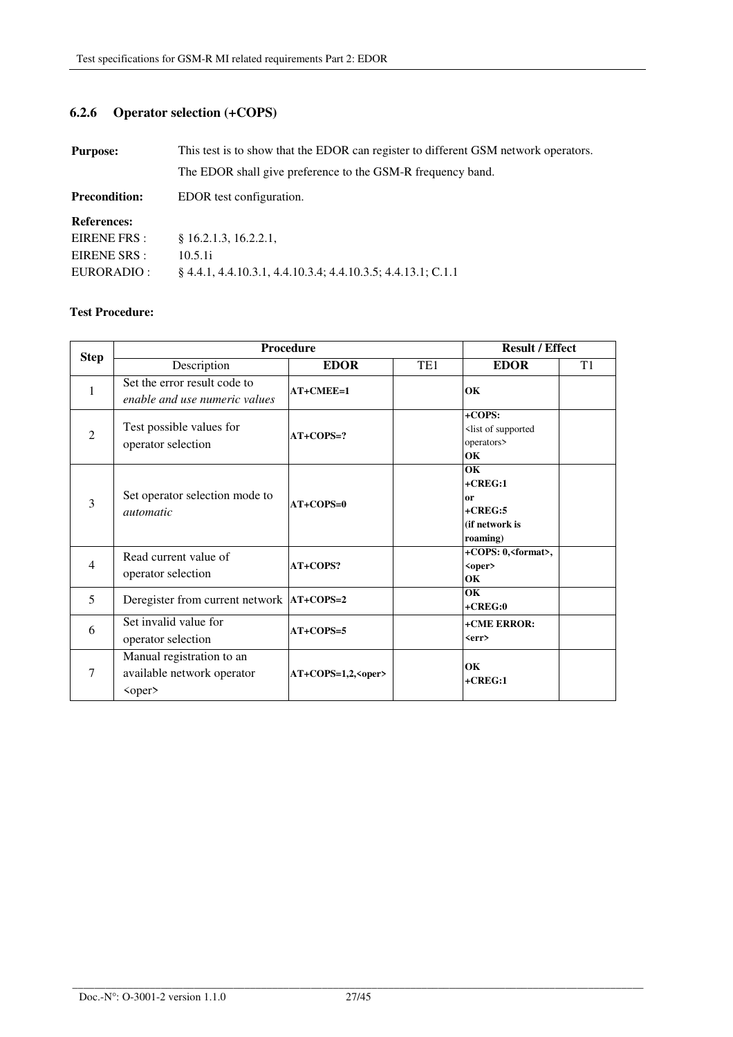# **6.2.6 Operator selection (+COPS)**

| <b>Purpose:</b>      | This test is to show that the EDOR can register to different GSM network operators. |  |  |
|----------------------|-------------------------------------------------------------------------------------|--|--|
|                      | The EDOR shall give preference to the GSM-R frequency band.                         |  |  |
| <b>Precondition:</b> | EDOR test configuration.                                                            |  |  |
| <b>References:</b>   |                                                                                     |  |  |
| EIRENE FRS :         | § 16.2.1.3, 16.2.2.1,                                                               |  |  |
| EIRENE SRS :         | 10.5.1i                                                                             |  |  |
| EURORADIO :          | § 4.4.1, 4.4.10.3.1, 4.4.10.3.4; 4.4.10.3.5; 4.4.13.1; C.1.1                        |  |  |

|                | <b>Procedure</b>                                                        |                        |                 | <b>Result / Effect</b>                                              |                |
|----------------|-------------------------------------------------------------------------|------------------------|-----------------|---------------------------------------------------------------------|----------------|
| <b>Step</b>    | Description                                                             | <b>EDOR</b>            | TE <sub>1</sub> | <b>EDOR</b>                                                         | T <sub>1</sub> |
| 1              | Set the error result code to<br>enable and use numeric values           | $AT+CMEE=1$            |                 | OK                                                                  |                |
| $\mathfrak{D}$ | Test possible values for<br>operator selection                          | $AT+COPS=?$            |                 | $+COPS:$<br><list of="" supported<br="">operators&gt;<br/>OK</list> |                |
| 3              | Set operator selection mode to<br><i>automatic</i>                      | $AT+COPS=0$            |                 | OK<br>$+CREG:1$<br>or<br>$+CREG:5$<br>(if network is<br>roaming)    |                |
| 4              | Read current value of<br>operator selection                             | AT+COPS?               |                 | +COPS: 0, <format>,<br/><oper><br/>OK</oper></format>               |                |
| 5              | Deregister from current network   AT+COPS=2                             |                        |                 | OK<br>$+CREG:0$                                                     |                |
| 6              | Set invalid value for<br>operator selection                             | $AT+COPS=5$            |                 | +CME ERROR:<br><err></err>                                          |                |
| $\overline{7}$ | Manual registration to an<br>available network operator<br>$<$ oper $>$ | $AT+COPS=1,2, ° oper>$ |                 | OK<br>$+CREG:1$                                                     |                |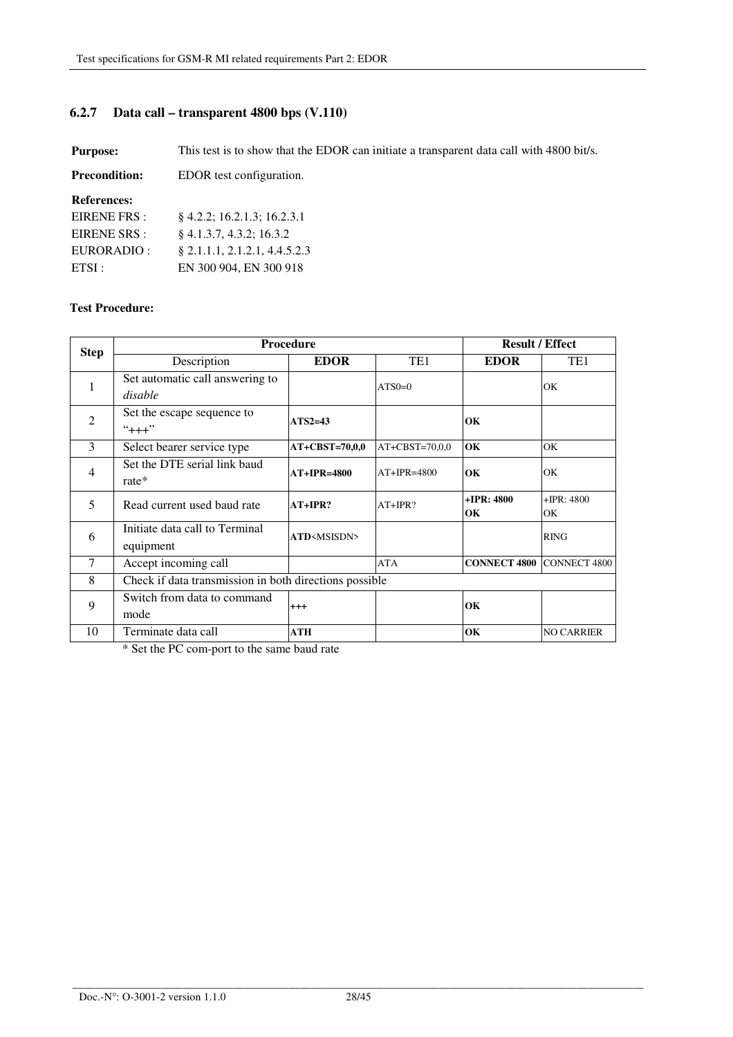# **6.2.7 Data call – transparent 4800 bps (V.110)**

**Purpose:** This test is to show that the EDOR can initiate a transparent data call with 4800 bit/s.

| <b>Precondition:</b> | EDOR test configuration.        |
|----------------------|---------------------------------|
| <b>References:</b>   |                                 |
| EIRENE FRS :         | $\{4.2.2; 16.2.1.3; 16.2.3.1\}$ |
| EIRENE SRS :         | $\S$ 4.1.3.7, 4.3.2; 16.3.2     |
| EURORADIO :          | $§$ 2.1.1.1, 2.1.2.1, 4.4.5.2.3 |
| ETSI:                | EN 300 904, EN 300 918          |

#### **Test Procedure:**

| <b>Step</b>    | <b>Procedure</b>                                       |                              | <b>Result / Effect</b> |                     |                    |
|----------------|--------------------------------------------------------|------------------------------|------------------------|---------------------|--------------------|
|                | Description                                            | <b>EDOR</b>                  | TE <sub>1</sub>        | <b>EDOR</b>         | TE1                |
| 1              | Set automatic call answering to<br>disable             |                              | $ATS0=0$               |                     | OK                 |
| $\overline{2}$ | Set the escape sequence to<br>$"+++"$                  | $ATS2=43$                    |                        | OK                  |                    |
| 3              | Select bearer service type                             | AT+CBST=70,0,0               | $AT+CBST=70,0.0$       | OК                  | OK                 |
| $\overline{4}$ | Set the DTE serial link baud<br>$rate*$                | $AT+IPR=4800$                | $AT+IPR=4800$          | OК                  | OK                 |
| 5              | Read current used baud rate                            | $AT+IPR?$                    | $AT+IPR?$              | $+IPR: 4800$<br>OК  | $+IPR: 4800$<br>OК |
| 6              | Initiate data call to Terminal<br>equipment            | <b>ATD</b> <msisdn></msisdn> |                        |                     | <b>RING</b>        |
| 7              | Accept incoming call                                   |                              | <b>ATA</b>             | <b>CONNECT 4800</b> | CONNECT 4800       |
| 8              | Check if data transmission in both directions possible |                              |                        |                     |                    |
| 9              | Switch from data to command<br>mode                    | $^{+++}$                     |                        | OK                  |                    |
| 10             | Terminate data call                                    | ATH                          |                        | OК                  | <b>NO CARRIER</b>  |

\* Set the PC com-port to the same baud rate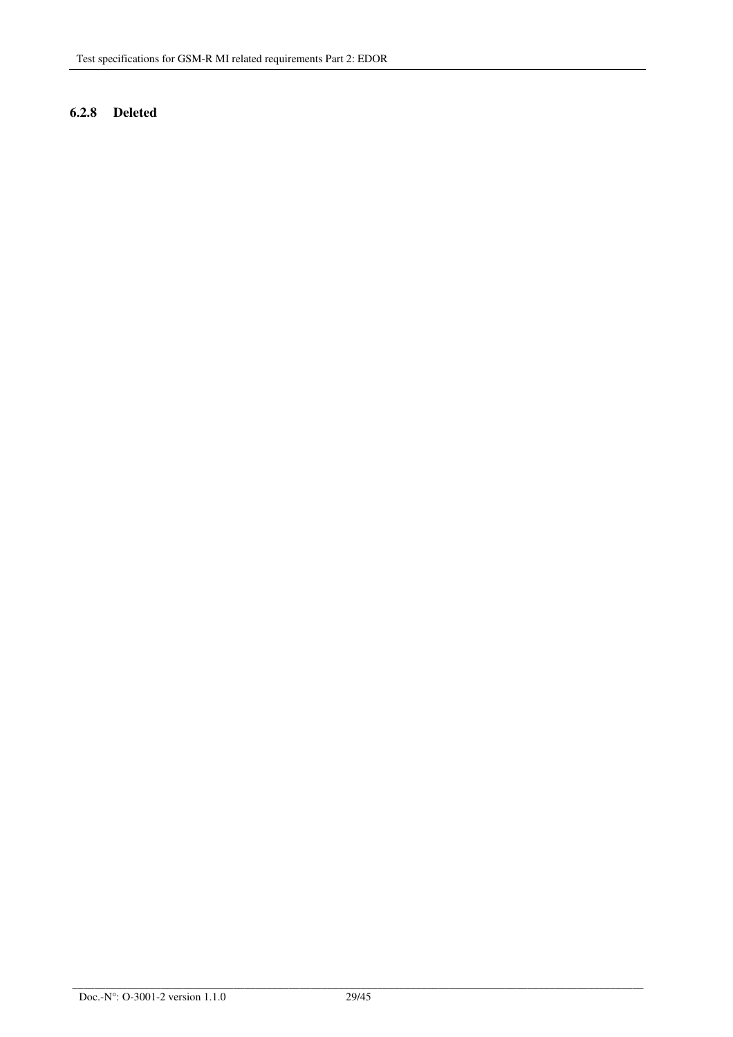## **6.2.8 Deleted**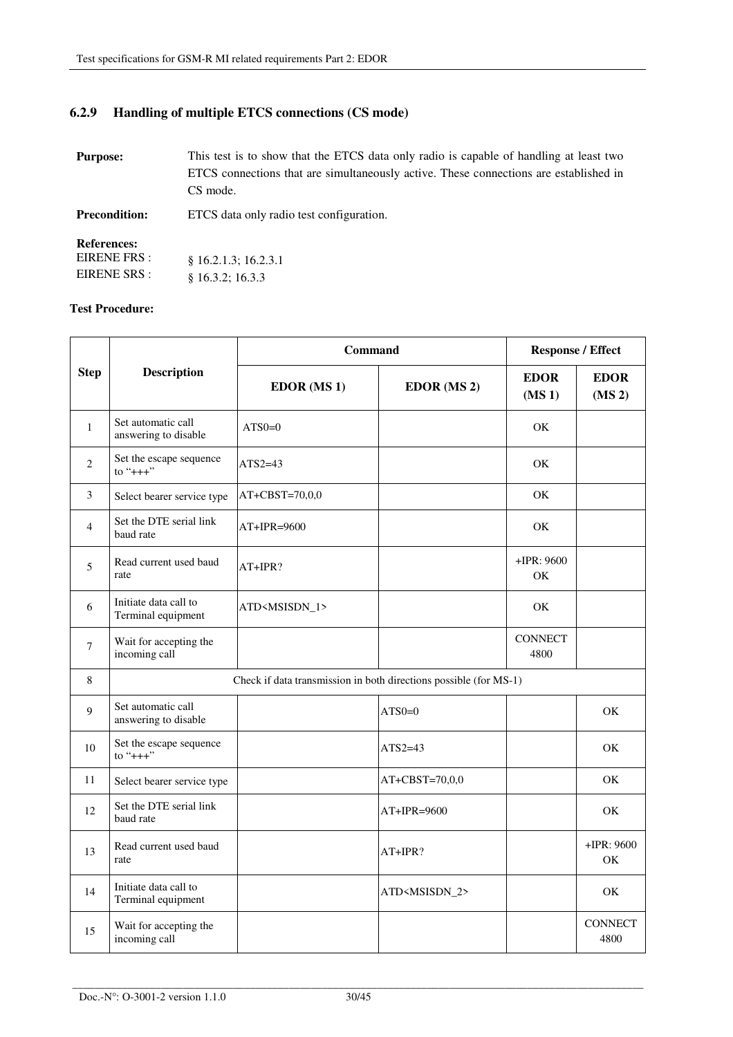# **6.2.9 Handling of multiple ETCS connections (CS mode)**

| <b>Purpose:</b>                                    | This test is to show that the ETCS data only radio is capable of handling at least two<br>ETCS connections that are simultaneously active. These connections are established in<br>CS mode. |
|----------------------------------------------------|---------------------------------------------------------------------------------------------------------------------------------------------------------------------------------------------|
| <b>Precondition:</b>                               | ETCS data only radio test configuration.                                                                                                                                                    |
| <b>References:</b><br>EIRENE FRS :<br>EIRENE SRS : | § 16.2.1.3; 16.2.3.1<br>\$16.3.2:16.3.3                                                                                                                                                     |

|             | <b>Description</b>                          | Command                                                           |                           | <b>Response / Effect</b>          |                                   |
|-------------|---------------------------------------------|-------------------------------------------------------------------|---------------------------|-----------------------------------|-----------------------------------|
| <b>Step</b> |                                             | <b>EDOR</b> (MS 1)                                                | EDOR (MS 2)               | <b>EDOR</b><br>(MS <sub>1</sub> ) | <b>EDOR</b><br>(MS <sub>2</sub> ) |
| 1           | Set automatic call<br>answering to disable  | $ATS0=0$                                                          |                           | OK                                |                                   |
| 2           | Set the escape sequence<br>to "+++"         | ATS2 $=43$                                                        |                           | <b>OK</b>                         |                                   |
| 3           | Select bearer service type                  | $AT+CBST=70,0,0$                                                  |                           | OK                                |                                   |
| 4           | Set the DTE serial link<br>baud rate        | AT+IPR=9600                                                       |                           | OK                                |                                   |
| 5           | Read current used baud<br>rate              | AT+IPR?                                                           |                           | $+$ IPR: 9600<br>OK               |                                   |
| 6           | Initiate data call to<br>Terminal equipment | ATD <msisdn_1></msisdn_1>                                         |                           | <b>OK</b>                         |                                   |
| 7           | Wait for accepting the<br>incoming call     |                                                                   |                           | <b>CONNECT</b><br>4800            |                                   |
| 8           |                                             | Check if data transmission in both directions possible (for MS-1) |                           |                                   |                                   |
| 9           | Set automatic call<br>answering to disable  |                                                                   | $ATSO=0$                  |                                   | OK                                |
| 10          | Set the escape sequence<br>to $"++"$        |                                                                   | $ATS2=43$                 |                                   | OK                                |
| 11          | Select bearer service type                  |                                                                   | AT+CBST=70,0,0            |                                   | OK                                |
| 12          | Set the DTE serial link<br>baud rate        |                                                                   | AT+IPR=9600               |                                   | OK                                |
| 13          | Read current used baud<br>rate              |                                                                   | AT+IPR?                   |                                   | $+IPR: 9600$<br>OK                |
| 14          | Initiate data call to<br>Terminal equipment |                                                                   | ATD <msisdn_2></msisdn_2> |                                   | OK                                |
| 15          | Wait for accepting the<br>incoming call     |                                                                   |                           |                                   | <b>CONNECT</b><br>4800            |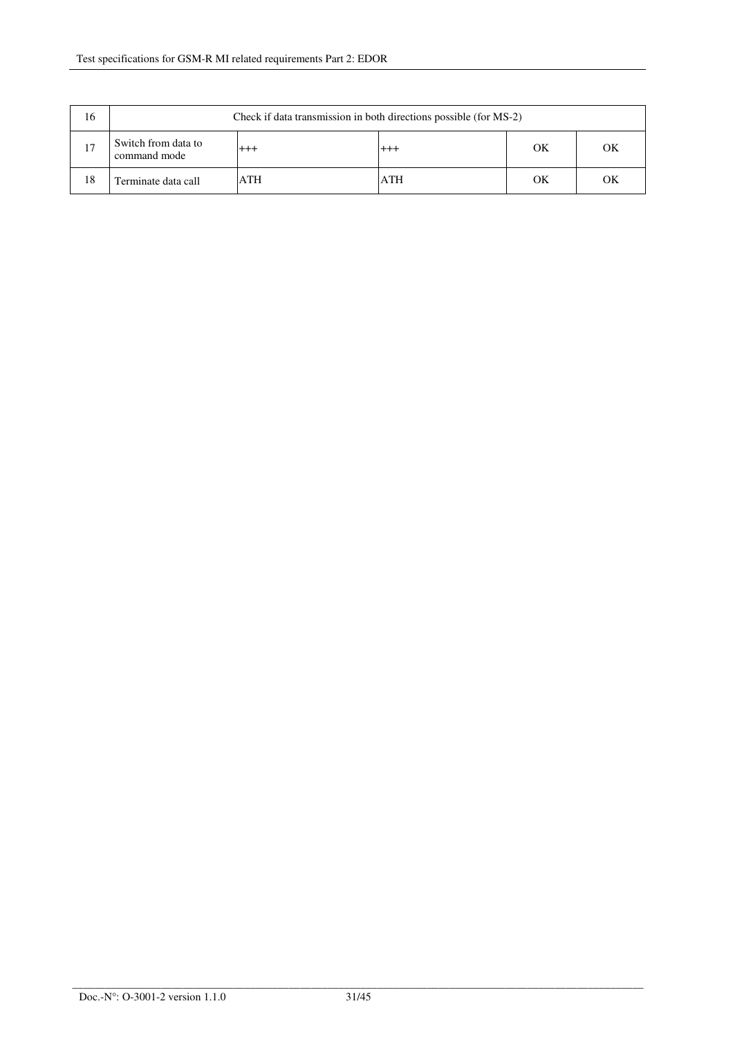| 16 | Check if data transmission in both directions possible (for MS-2) |            |            |    |    |
|----|-------------------------------------------------------------------|------------|------------|----|----|
| 17 | Switch from data to<br>command mode                               | $^{+++}$   | $^{+++}$   | OК | OК |
| 18 | Terminate data call                                               | <b>ATH</b> | <b>ATH</b> | OΚ | OK |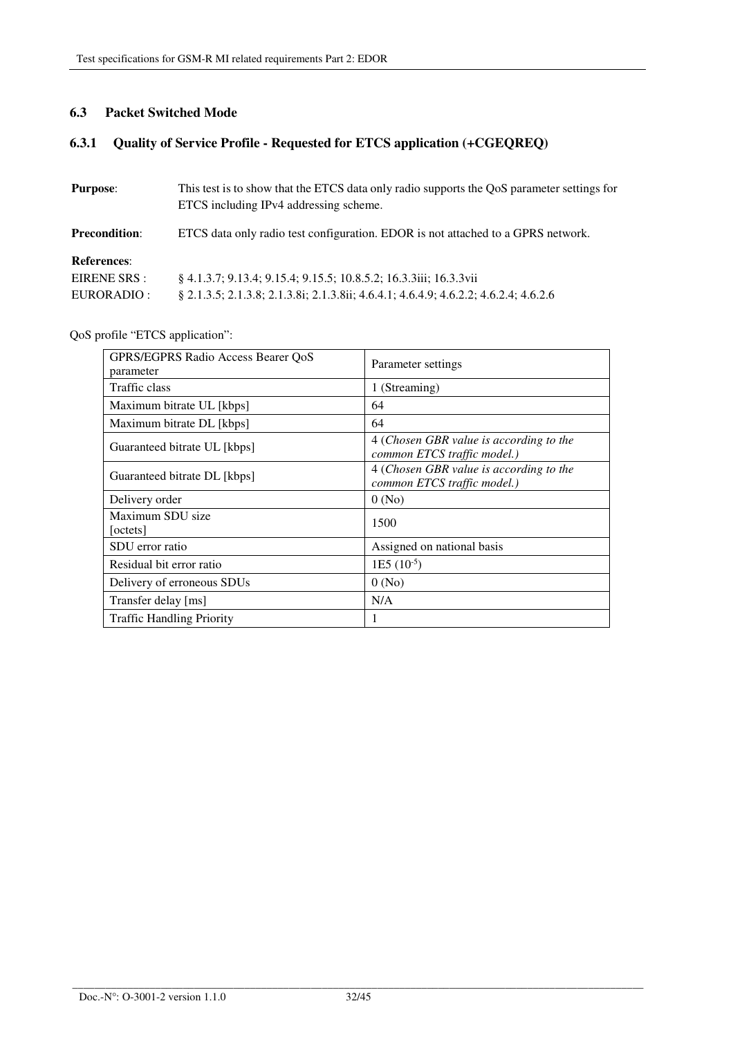## **6.3 Packet Switched Mode**

# **6.3.1 Quality of Service Profile - Requested for ETCS application (+CGEQREQ)**

| <b>Purpose:</b>      | This test is to show that the ETCS data only radio supports the QoS parameter settings for<br>ETCS including IPv4 addressing scheme. |
|----------------------|--------------------------------------------------------------------------------------------------------------------------------------|
| <b>Precondition:</b> | ETCS data only radio test configuration. EDOR is not attached to a GPRS network.                                                     |
| <b>References:</b>   |                                                                                                                                      |
| EIRENE SRS :         | § 4.1.3.7; 9.13.4; 9.15.4; 9.15.5; 10.8.5.2; 16.3.3iii; 16.3.3vii                                                                    |
| EURORADIO :          | § 2.1.3.5; 2.1.3.8; 2.1.3.8i; 2.1.3.8ii; 4.6.4.1; 4.6.4.9; 4.6.2.2; 4.6.2.4; 4.6.2.6                                                 |

# QoS profile "ETCS application":

| GPRS/EGPRS Radio Access Bearer QoS<br>parameter | Parameter settings                                                     |
|-------------------------------------------------|------------------------------------------------------------------------|
| Traffic class                                   | 1 (Streaming)                                                          |
| Maximum bitrate UL [kbps]                       | 64                                                                     |
| Maximum bitrate DL [kbps]                       | 64                                                                     |
| Guaranteed bitrate UL [kbps]                    | 4 (Chosen GBR value is according to the<br>common ETCS traffic model.) |
| Guaranteed bitrate DL [kbps]                    | 4 (Chosen GBR value is according to the<br>common ETCS traffic model.) |
| Delivery order                                  | 0(No)                                                                  |
| Maximum SDU size<br>octets                      | 1500                                                                   |
| SDU error ratio                                 | Assigned on national basis                                             |
| Residual bit error ratio                        | $1E5 (10^{-5})$                                                        |
| Delivery of erroneous SDUs                      | 0(No)                                                                  |
| Transfer delay [ms]                             | N/A                                                                    |
| <b>Traffic Handling Priority</b>                | 1                                                                      |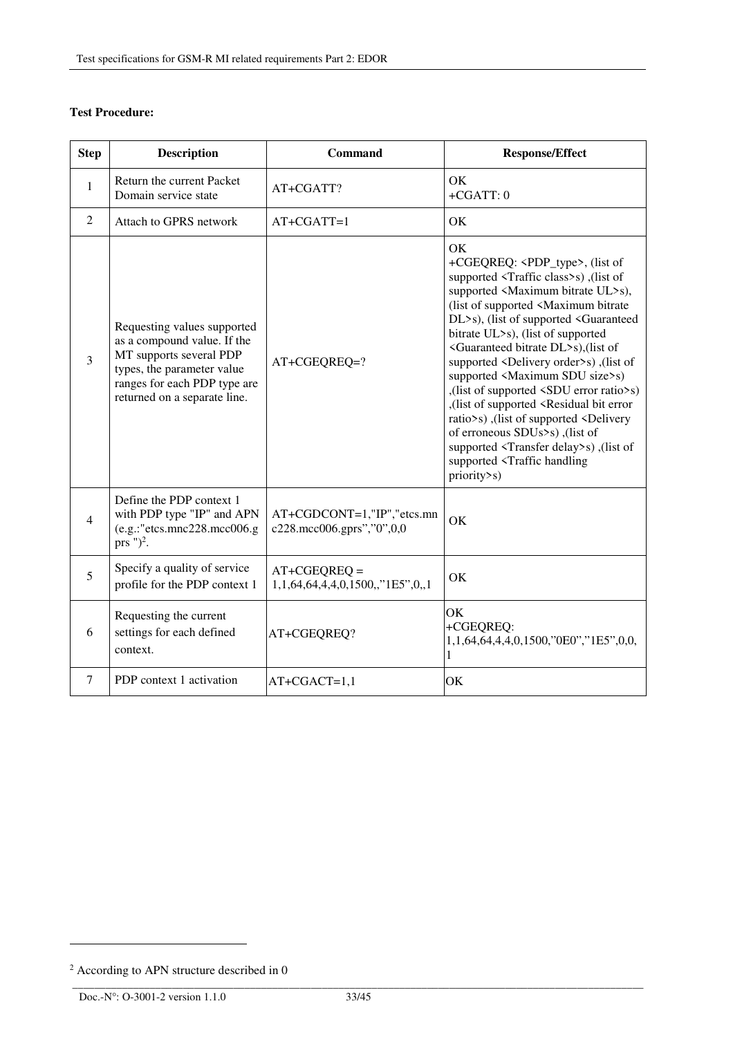## **Test Procedure:**

| <b>Step</b>    | <b>Description</b>                                                                                                                                                                  | <b>Command</b>                                          | <b>Response/Effect</b>                                                                                                                                                                                                                                                                                                                                                                                                                                                                                                                                                                                                                                                                                                                                                                                                                  |
|----------------|-------------------------------------------------------------------------------------------------------------------------------------------------------------------------------------|---------------------------------------------------------|-----------------------------------------------------------------------------------------------------------------------------------------------------------------------------------------------------------------------------------------------------------------------------------------------------------------------------------------------------------------------------------------------------------------------------------------------------------------------------------------------------------------------------------------------------------------------------------------------------------------------------------------------------------------------------------------------------------------------------------------------------------------------------------------------------------------------------------------|
| 1              | Return the current Packet<br>Domain service state                                                                                                                                   | AT+CGATT?                                               | OK<br>$+CGATT:0$                                                                                                                                                                                                                                                                                                                                                                                                                                                                                                                                                                                                                                                                                                                                                                                                                        |
| 2              | Attach to GPRS network                                                                                                                                                              | $AT+CGATT=1$                                            | OK                                                                                                                                                                                                                                                                                                                                                                                                                                                                                                                                                                                                                                                                                                                                                                                                                                      |
| 3              | Requesting values supported<br>as a compound value. If the<br>MT supports several PDP<br>types, the parameter value<br>ranges for each PDP type are<br>returned on a separate line. | AT+CGEQREQ=?                                            | OK<br>+CGEQREQ: <pdp_type>, (list of<br/>supported <traffic class="">s), (list of<br/>supported <maximum bitrate="" ul="">s),<br/>(list of supported <maximum bitrate<br="">DL&gt;s), (list of supported <guaranteed<br>bitrate UL&gt;s), (list of supported<br/><guaranteed bitrate="" dl="">s), (list of<br/>supported <delivery order="">s), (list of<br/>supported <maximum sdu="" size="">s)<br/>(list of supported <sdu error="" ratio="">s)<br/>(list of supported <residual bit="" error<br="">ratio&gt;s), (list of supported <delivery<br>of erroneous SDUs&gt;s), (list of<br/>supported <transfer delay="">s), (list of<br/>supported <traffic handling<br="">priority&gt;s)</traffic></transfer></delivery<br></residual></sdu></maximum></delivery></guaranteed></guaranteed<br></maximum></maximum></traffic></pdp_type> |
| $\overline{4}$ | Define the PDP context 1<br>with PDP type "IP" and APN<br>$(e.g.:$ "etcs.mnc $228.\text{mcc}006.g$<br>prs $")^2$ .                                                                  | AT+CGDCONT=1,"IP","etcs.mn<br>c228.mcc006.gprs","0",0,0 | OK                                                                                                                                                                                                                                                                                                                                                                                                                                                                                                                                                                                                                                                                                                                                                                                                                                      |
| $\overline{5}$ | Specify a quality of service<br>profile for the PDP context 1                                                                                                                       | $AT+CGEQREQ =$<br>1,1,64,64,4,4,0,1500,,"1E5",0,,1      | OK                                                                                                                                                                                                                                                                                                                                                                                                                                                                                                                                                                                                                                                                                                                                                                                                                                      |
| 6              | Requesting the current<br>settings for each defined<br>context.                                                                                                                     | AT+CGEQREQ?                                             | OК<br>+CGEQREQ:<br>1,1,64,64,4,4,0,1500,"0E0","1E5",0,0,                                                                                                                                                                                                                                                                                                                                                                                                                                                                                                                                                                                                                                                                                                                                                                                |
| 7              | PDP context 1 activation                                                                                                                                                            | $AT+CGACT=1,1$                                          | OK                                                                                                                                                                                                                                                                                                                                                                                                                                                                                                                                                                                                                                                                                                                                                                                                                                      |

l

<sup>2</sup> According to APN structure described in 0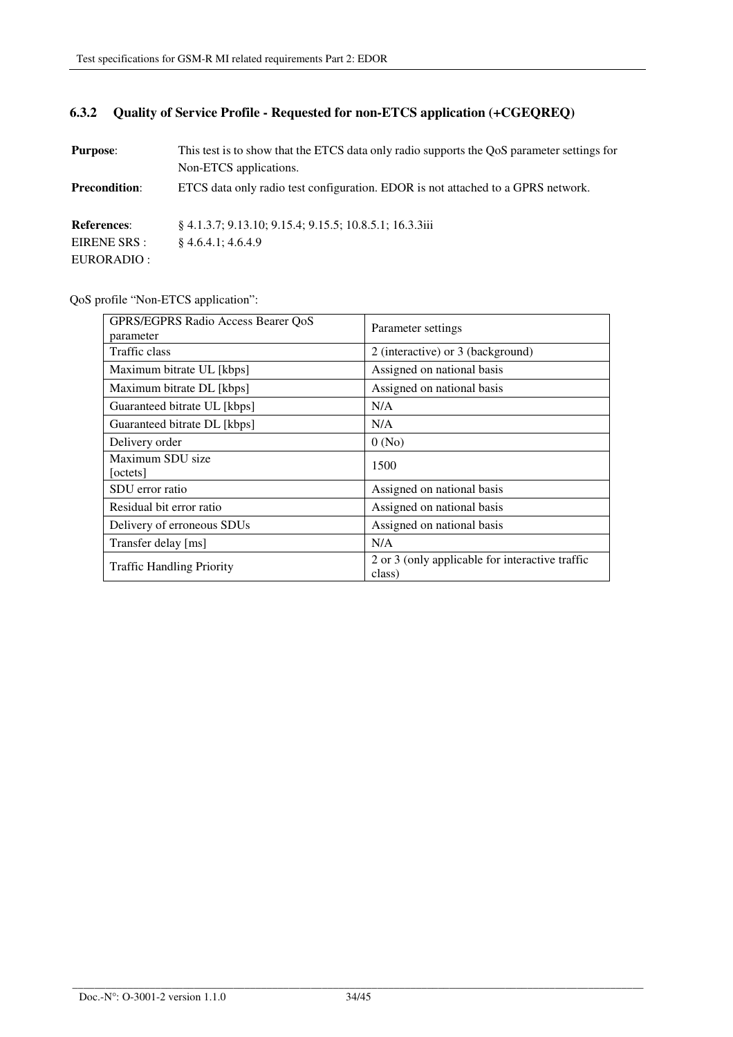# **6.3.2 Quality of Service Profile - Requested for non-ETCS application (+CGEQREQ)**

| <b>Purpose:</b>      | This test is to show that the ETCS data only radio supports the QoS parameter settings for |
|----------------------|--------------------------------------------------------------------------------------------|
|                      | Non-ETCS applications.                                                                     |
| <b>Precondition:</b> | ETCS data only radio test configuration. EDOR is not attached to a GPRS network.           |
| <b>References:</b>   | § 4.1.3.7; 9.13.10; 9.15.4; 9.15.5; 10.8.5.1; 16.3.3iii                                    |
| EIRENE SRS :         | 84.6.4.1:4.6.4.9                                                                           |
| EURORADIO :          |                                                                                            |

QoS profile "Non-ETCS application":

| GPRS/EGPRS Radio Access Bearer QoS<br>parameter | Parameter settings                                        |
|-------------------------------------------------|-----------------------------------------------------------|
| Traffic class                                   | 2 (interactive) or 3 (background)                         |
| Maximum bitrate UL [kbps]                       | Assigned on national basis                                |
| Maximum bitrate DL [kbps]                       | Assigned on national basis                                |
| Guaranteed bitrate UL [kbps]                    | N/A                                                       |
| Guaranteed bitrate DL [kbps]                    | N/A                                                       |
| Delivery order                                  | 0(No)                                                     |
| Maximum SDU size<br>[octets]                    | 1500                                                      |
| SDU error ratio                                 | Assigned on national basis                                |
| Residual bit error ratio                        | Assigned on national basis                                |
| Delivery of erroneous SDUs                      | Assigned on national basis                                |
| Transfer delay [ms]                             | N/A                                                       |
| <b>Traffic Handling Priority</b>                | 2 or 3 (only applicable for interactive traffic<br>class) |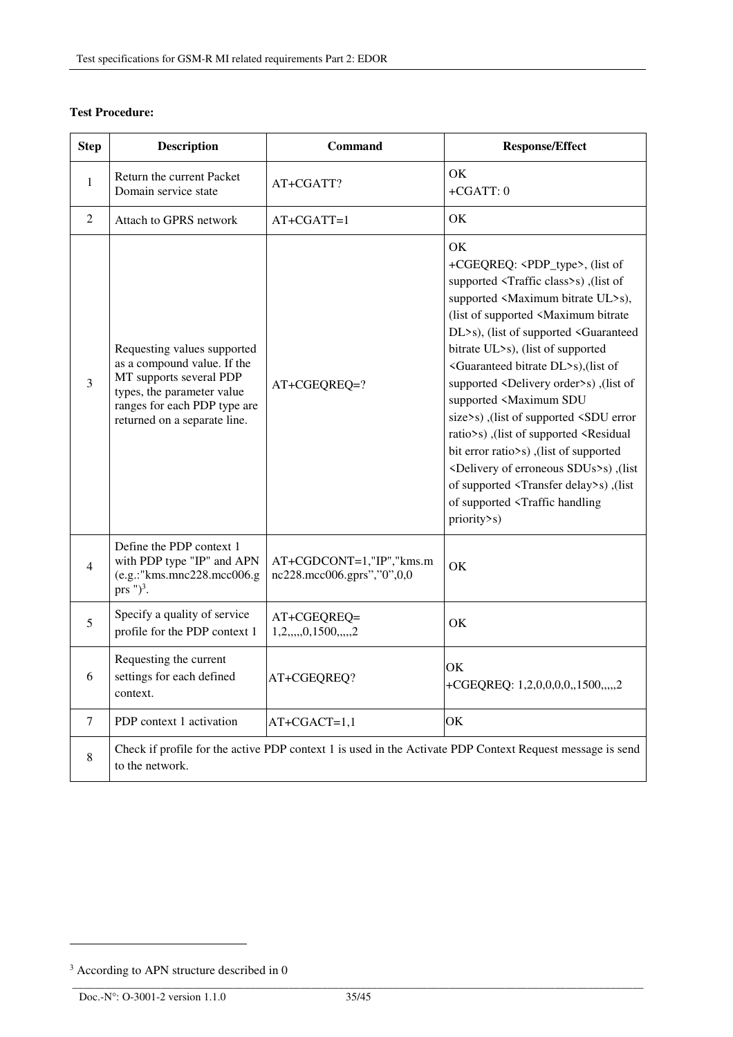| <b>Step</b>    | <b>Description</b>                                                                                                                                                                  | Command                                                | <b>Response/Effect</b>                                                                                                                                                                                                                                                                                                                                                                                                                                                                                                                                                                                                                                                                                                                                                                                                                  |  |
|----------------|-------------------------------------------------------------------------------------------------------------------------------------------------------------------------------------|--------------------------------------------------------|-----------------------------------------------------------------------------------------------------------------------------------------------------------------------------------------------------------------------------------------------------------------------------------------------------------------------------------------------------------------------------------------------------------------------------------------------------------------------------------------------------------------------------------------------------------------------------------------------------------------------------------------------------------------------------------------------------------------------------------------------------------------------------------------------------------------------------------------|--|
| $\mathbf{1}$   | Return the current Packet<br>Domain service state                                                                                                                                   | AT+CGATT?                                              | OK<br>$+CGATT:0$                                                                                                                                                                                                                                                                                                                                                                                                                                                                                                                                                                                                                                                                                                                                                                                                                        |  |
| $\overline{2}$ | Attach to GPRS network                                                                                                                                                              | AT+CGATT=1                                             | OK                                                                                                                                                                                                                                                                                                                                                                                                                                                                                                                                                                                                                                                                                                                                                                                                                                      |  |
| 3              | Requesting values supported<br>as a compound value. If the<br>MT supports several PDP<br>types, the parameter value<br>ranges for each PDP type are<br>returned on a separate line. | AT+CGEQREQ=?                                           | OK<br>+CGEQREQ: <pdp_type>, (list of<br/>supported <traffic class="">s), (list of<br/>supported <maximum bitrate="" ul="">s),<br/>(list of supported <maximum bitrate<br="">DL&gt;s), (list of supported <guaranteed<br>bitrate UL&gt;s), (list of supported<br/><guaranteed bitrate="" dl="">s), (list of<br/>supported <delivery order="">s), (list of<br/>supported <maximum sdu<br="">size&gt;s),(list of supported <sdu error<br="">ratio&gt;s), (list of supported <residual<br>bit error ratio&gt;s), (list of supported<br/><delivery erroneous="" of="" sdus="">s), (list<br/>of supported <transfer delay="">s), (list<br/>of supported <traffic handling<br="">priority&gt;s)</traffic></transfer></delivery></residual<br></sdu></maximum></delivery></guaranteed></guaranteed<br></maximum></maximum></traffic></pdp_type> |  |
| $\overline{4}$ | Define the PDP context 1<br>with PDP type "IP" and APN<br>(e.g.:"kms.mnc228.mcc006.g<br>prs $")^3$ .                                                                                | AT+CGDCONT=1,"IP","kms.m<br>nc228.mcc006.gprs","0",0,0 | OK                                                                                                                                                                                                                                                                                                                                                                                                                                                                                                                                                                                                                                                                                                                                                                                                                                      |  |
| 5              | Specify a quality of service<br>profile for the PDP context 1                                                                                                                       | AT+CGEQREQ=<br>1, 2, , 0, 1500, , 2                    | OK                                                                                                                                                                                                                                                                                                                                                                                                                                                                                                                                                                                                                                                                                                                                                                                                                                      |  |
| 6              | Requesting the current<br>settings for each defined<br>context.                                                                                                                     | AT+CGEQREQ?                                            | ОK<br>+CGEQREQ: 1,2,0,0,0,0,,1500,,,,,2                                                                                                                                                                                                                                                                                                                                                                                                                                                                                                                                                                                                                                                                                                                                                                                                 |  |
| $\tau$         | PDP context 1 activation                                                                                                                                                            | AT+CGACT=1,1                                           | OK                                                                                                                                                                                                                                                                                                                                                                                                                                                                                                                                                                                                                                                                                                                                                                                                                                      |  |
| 8              | Check if profile for the active PDP context 1 is used in the Activate PDP Context Request message is send<br>to the network.                                                        |                                                        |                                                                                                                                                                                                                                                                                                                                                                                                                                                                                                                                                                                                                                                                                                                                                                                                                                         |  |

## **Test Procedure:**

l

<sup>&</sup>lt;sup>3</sup> According to APN structure described in 0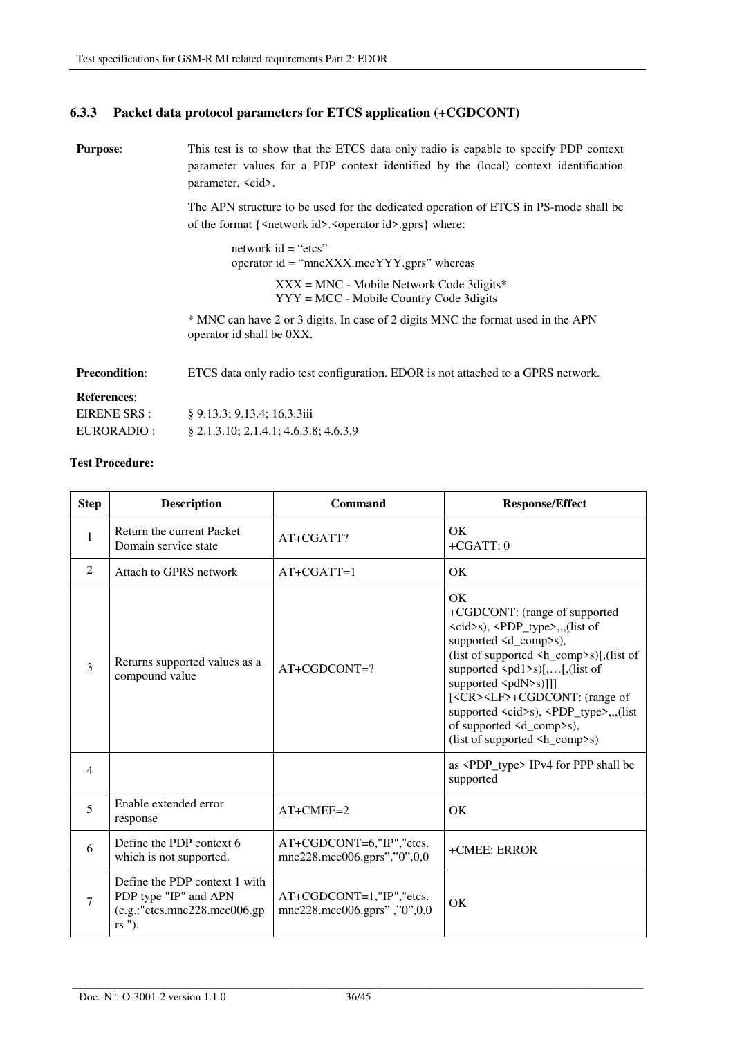## **6.3.3 Packet data protocol parameters for ETCS application (+CGDCONT)**

**Purpose:** This test is to show that the ETCS data only radio is capable to specify PDP context parameter values for a PDP context identified by the (local) context identification parameter, <cid>.

> The APN structure to be used for the dedicated operation of ETCS in PS-mode shall be of the format  $\{\langle \text{network id}\rangle, \langle \text{operator id}\rangle, \text{gprs}\}$  where:

network  $id = "etcs"$ operator id = "mncXXX.mccYYY.gprs" whereas XXX = MNC - Mobile Network Code 3digits\* YYY = MCC - Mobile Country Code 3digits

\* MNC can have 2 or 3 digits. In case of 2 digits MNC the format used in the APN operator id shall be 0XX.

**Precondition:** ETCS data only radio test configuration. EDOR is not attached to a GPRS network.

#### **References**:

| EIRENE SRS : | § 9.13.3; 9.13.4; 16.3.3iii              |
|--------------|------------------------------------------|
| EURORADIO :  | $\S$ 2.1.3.10; 2.1.4.1; 4.6.3.8; 4.6.3.9 |

| <b>Step</b>    | <b>Description</b>                                                                                                   | Command                                                     | <b>Response/Effect</b>                                                                                                                                                                                                                                                                                                                                                                                                                                                                                    |  |
|----------------|----------------------------------------------------------------------------------------------------------------------|-------------------------------------------------------------|-----------------------------------------------------------------------------------------------------------------------------------------------------------------------------------------------------------------------------------------------------------------------------------------------------------------------------------------------------------------------------------------------------------------------------------------------------------------------------------------------------------|--|
| $\mathbf{1}$   | Return the current Packet<br>Domain service state                                                                    | AT+CGATT?                                                   | OK<br>$+CGATT:0$                                                                                                                                                                                                                                                                                                                                                                                                                                                                                          |  |
| 2              | Attach to GPRS network                                                                                               | $AT+CGATT=1$                                                | OK                                                                                                                                                                                                                                                                                                                                                                                                                                                                                                        |  |
| 3              | Returns supported values as a<br>compound value                                                                      | $AT+CGDCONT=?$                                              | OK<br>+CGDCONT: (range of supported<br>$\langle cid \rangle$ s), $\langle PDP_t \rangle$ type $\langle c, c \rangle$ , (list of<br>supported <d_comp>s),<br/>(list of supported <h_comp>s)[,(list of<br/>supported <math>\langle pd1 \rangle</math>s)[,[,(list of<br/>supported <pdn>s)]]]<br/>[<cr><lf>+CGDCONT: (range of<br/>supported <cid>s), <pdp_type>,,,(list<br/>of supported <d_comp>s),<br/>(list of supported <h_comp>s)</h_comp></d_comp></pdp_type></cid></lf></cr></pdn></h_comp></d_comp> |  |
| $\overline{4}$ |                                                                                                                      |                                                             | as <pdp_type> IPv4 for PPP shall be<br/>supported</pdp_type>                                                                                                                                                                                                                                                                                                                                                                                                                                              |  |
| 5              | Enable extended error<br>response                                                                                    | $AT+CMEE=2$                                                 | OK                                                                                                                                                                                                                                                                                                                                                                                                                                                                                                        |  |
| 6              | Define the PDP context 6<br>which is not supported.                                                                  | $AT+CGDCONT=6," IP", "etcs.$<br>mnc228.mcc006.gprs","0",0,0 | +CMEE: ERROR                                                                                                                                                                                                                                                                                                                                                                                                                                                                                              |  |
| 7              | Define the PDP context 1 with<br>PDP type "IP" and APN<br>$(e.g.:$ "etcs.mnc $228.\text{mcc}006.\text{gp}$<br>rs "). | $AT+CGDCONT=1, "IP", "etcs.$<br>mnc228.mcc006.gprs","0",0,0 | OK                                                                                                                                                                                                                                                                                                                                                                                                                                                                                                        |  |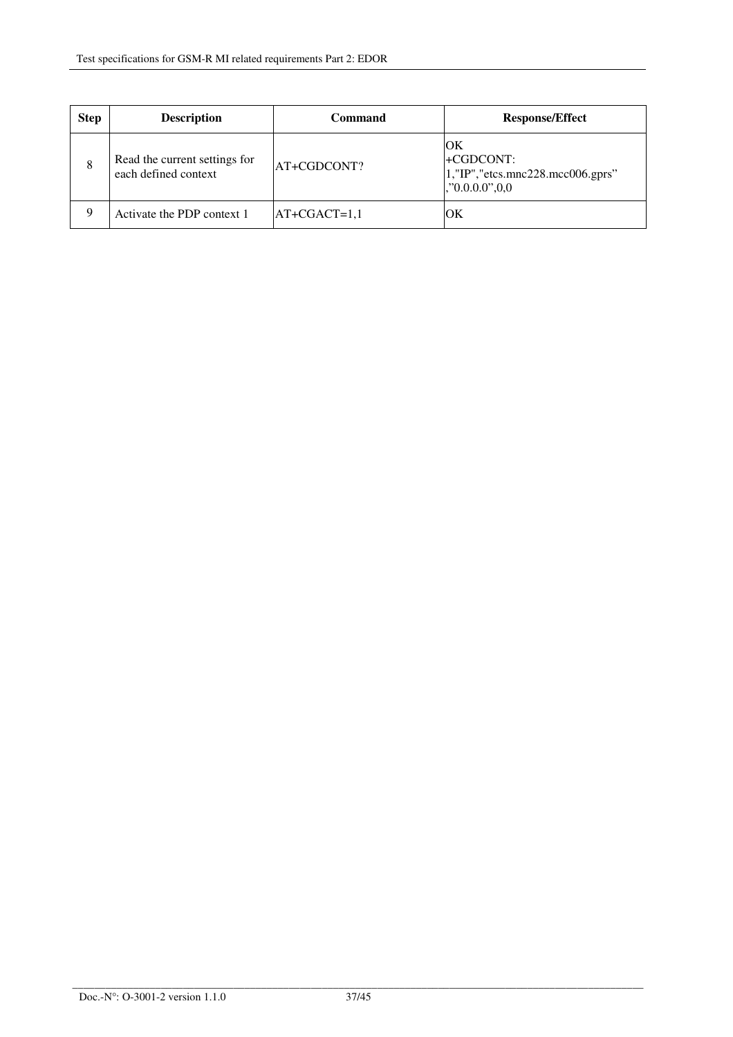| <b>Step</b> | <b>Description</b>                                    | Command        | <b>Response/Effect</b>                                                            |
|-------------|-------------------------------------------------------|----------------|-----------------------------------------------------------------------------------|
| 8           | Read the current settings for<br>each defined context | AT+CGDCONT?    | ЮK<br>+CGDCONT:<br>$ 1,$ "IP", "etcs.mnc228.mcc006.gprs"<br>$\mid$ ,"0.0.0.0",0,0 |
| 9           | Activate the PDP context 1                            | $AT+CGACT=1,1$ | ЮK                                                                                |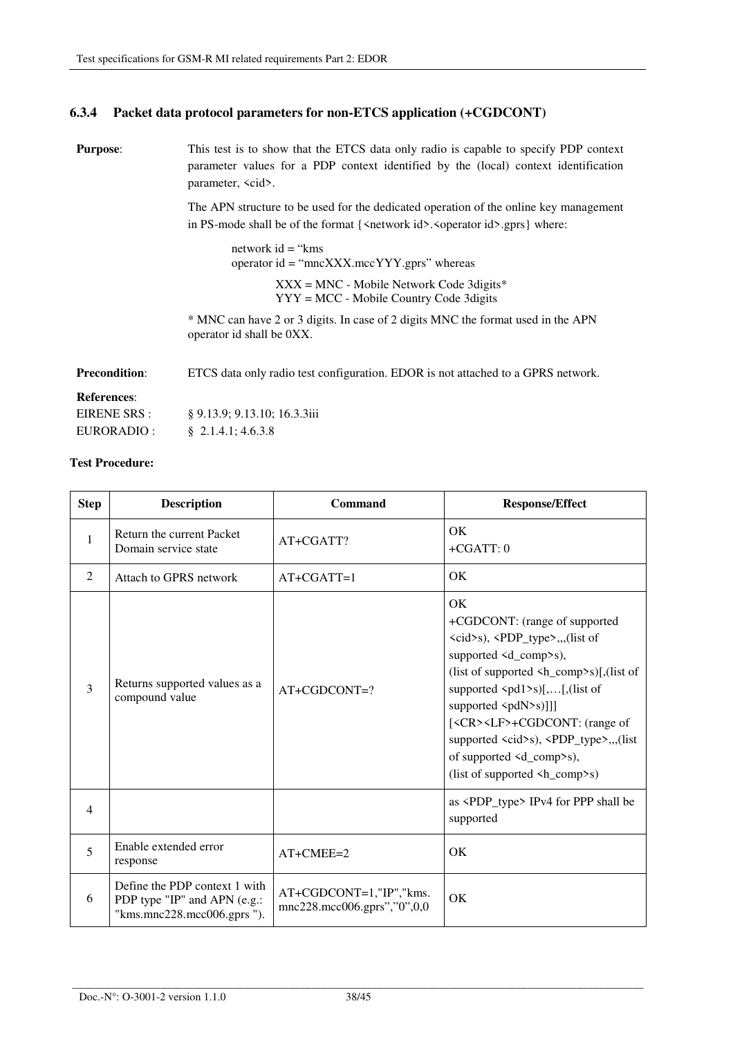## **6.3.4 Packet data protocol parameters for non-ETCS application (+CGDCONT)**

**Purpose:** This test is to show that the ETCS data only radio is capable to specify PDP context parameter values for a PDP context identified by the (local) context identification parameter, <cid>.

> The APN structure to be used for the dedicated operation of the online key management in PS-mode shall be of the format  $\{\langle \text{network id}\rangle, \langle \text{operator id}\rangle, \langle \text{gprs}\}\$  where:

network id = "kms operator id = "mncXXX.mccYYY.gprs" whereas XXX = MNC - Mobile Network Code 3digits\* YYY = MCC - Mobile Country Code 3digits

\* MNC can have 2 or 3 digits. In case of 2 digits MNC the format used in the APN operator id shall be 0XX.

**Precondition:** ETCS data only radio test configuration. EDOR is not attached to a GPRS network.

#### **References**:

| EIRENE SRS : | § 9.13.9; 9.13.10; 16.3.3iii |
|--------------|------------------------------|
| EURORADIO :  | $\S$ 2.1.4.1; 4.6.3.8        |

| <b>Step</b>    | <b>Description</b>                                                                          | Command                                                | <b>Response/Effect</b>                                                                                                                                                                                                                                                                                                                                                                                                                                                                                                                       |  |
|----------------|---------------------------------------------------------------------------------------------|--------------------------------------------------------|----------------------------------------------------------------------------------------------------------------------------------------------------------------------------------------------------------------------------------------------------------------------------------------------------------------------------------------------------------------------------------------------------------------------------------------------------------------------------------------------------------------------------------------------|--|
| $\mathbf{1}$   | Return the current Packet<br>Domain service state                                           | AT+CGATT?                                              | OK<br>$+CGATT:0$                                                                                                                                                                                                                                                                                                                                                                                                                                                                                                                             |  |
| 2              | Attach to GPRS network                                                                      | $AT+CGATT=1$                                           | OK                                                                                                                                                                                                                                                                                                                                                                                                                                                                                                                                           |  |
| 3              | Returns supported values as a<br>compound value                                             | $AT+CGDCONT=?$                                         | OK<br>+CGDCONT: (range of supported<br><cid>s), <pdp_type>,,,(list of<br/>supported <d_comp>s),<br/>(list of supported <math>\langle h_{\text{comp}} \rangle</math>s)[,(list of<br/>supported <math>\langle pd1 \rangle</math>s)[,[,(list of<br/>supported <pdn>s)]]]<br/>[<cr><lf>+CGDCONT: (range of<br/>supported <cid>s), <pdp_type>,,,(list<br/>of supported <math>\leq d_{\text{comp}}\geq s</math>),<br/>(list of supported <math>\langle h_{\text{comp}} \rangle</math>s)</pdp_type></cid></lf></cr></pdn></d_comp></pdp_type></cid> |  |
| $\overline{4}$ |                                                                                             |                                                        | as <pdp_type> IPv4 for PPP shall be<br/>supported</pdp_type>                                                                                                                                                                                                                                                                                                                                                                                                                                                                                 |  |
| 5              | Enable extended error<br>response                                                           | AT+CMEE=2                                              | OK                                                                                                                                                                                                                                                                                                                                                                                                                                                                                                                                           |  |
| 6              | Define the PDP context 1 with<br>PDP type "IP" and APN (e.g.:<br>"kms.mnc228.mcc006.gprs"). | AT+CGDCONT=1,"IP","kms.<br>mnc228.mcc006.gprs","0",0,0 | OK                                                                                                                                                                                                                                                                                                                                                                                                                                                                                                                                           |  |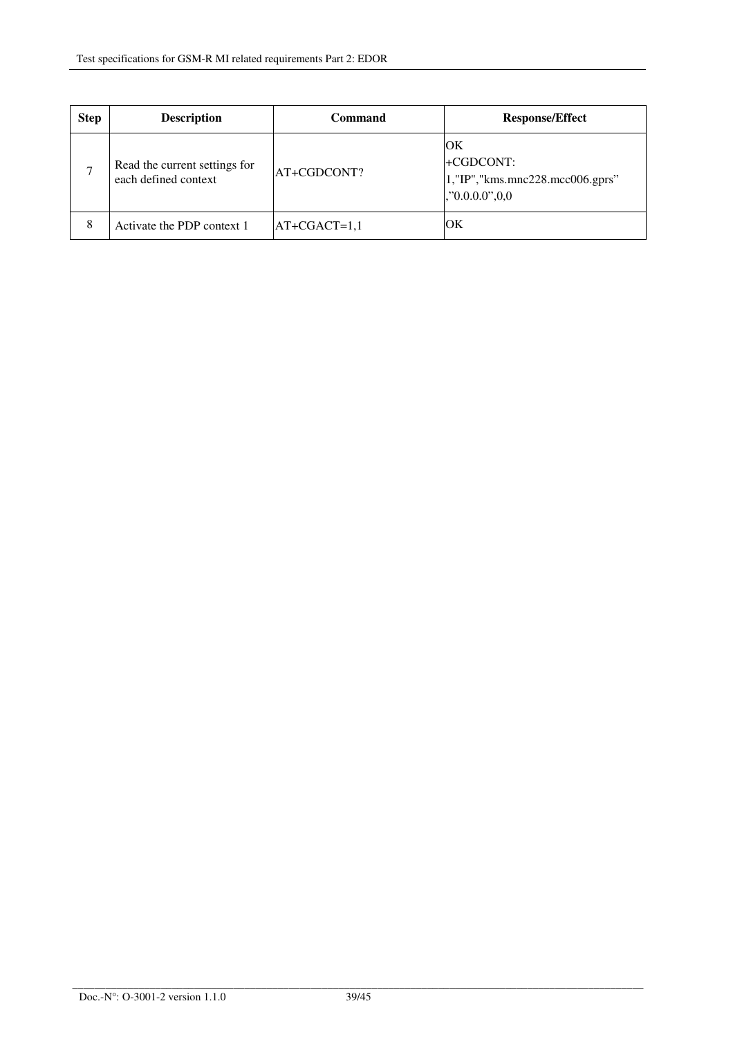| <b>Step</b>   | <b>Description</b>                                    | <b>Command</b> | <b>Response/Effect</b>                                              |  |
|---------------|-------------------------------------------------------|----------------|---------------------------------------------------------------------|--|
| $\mathcal{L}$ | Read the current settings for<br>each defined context | AT+CGDCONT?    | OК<br>+CGDCONT:<br>1,"IP","kms.mnc228.mcc006.gprs"<br>, 0.000, 0.00 |  |
| 8             | Activate the PDP context 1                            | $AT+CGACT=1,1$ | ЮK                                                                  |  |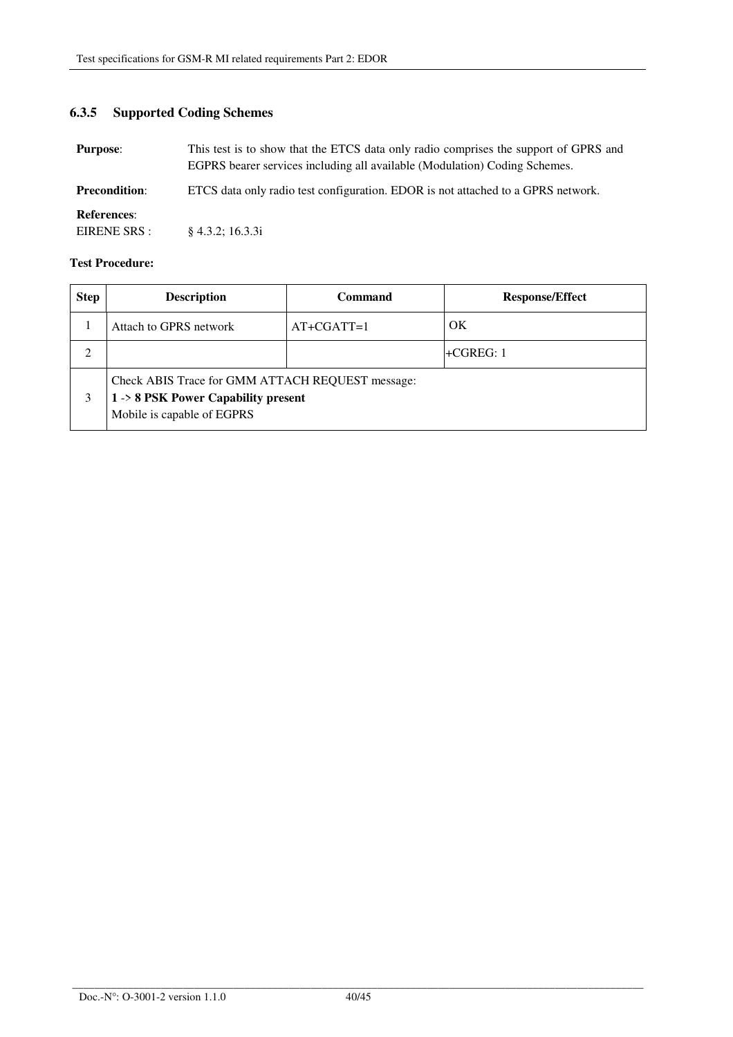# **6.3.5 Supported Coding Schemes**

| <b>Purpose:</b>      | This test is to show that the ETCS data only radio comprises the support of GPRS and<br>EGPRS bearer services including all available (Modulation) Coding Schemes. |
|----------------------|--------------------------------------------------------------------------------------------------------------------------------------------------------------------|
| <b>Precondition:</b> | ETCS data only radio test configuration. EDOR is not attached to a GPRS network.                                                                                   |
| <b>References:</b>   |                                                                                                                                                                    |
| EIRENE SRS :         | $§$ 4.3.2; 16.3.3i                                                                                                                                                 |

| <b>Step</b> | <b>Description</b>                                                                                                     | Command<br><b>Response/Effect</b> |             |  |
|-------------|------------------------------------------------------------------------------------------------------------------------|-----------------------------------|-------------|--|
|             | Attach to GPRS network                                                                                                 | $AT+CGATT=1$                      | OK          |  |
| 2           |                                                                                                                        |                                   | $+CGREG: 1$ |  |
| 3           | Check ABIS Trace for GMM ATTACH REQUEST message:<br>$1 - 8$ PSK Power Capability present<br>Mobile is capable of EGPRS |                                   |             |  |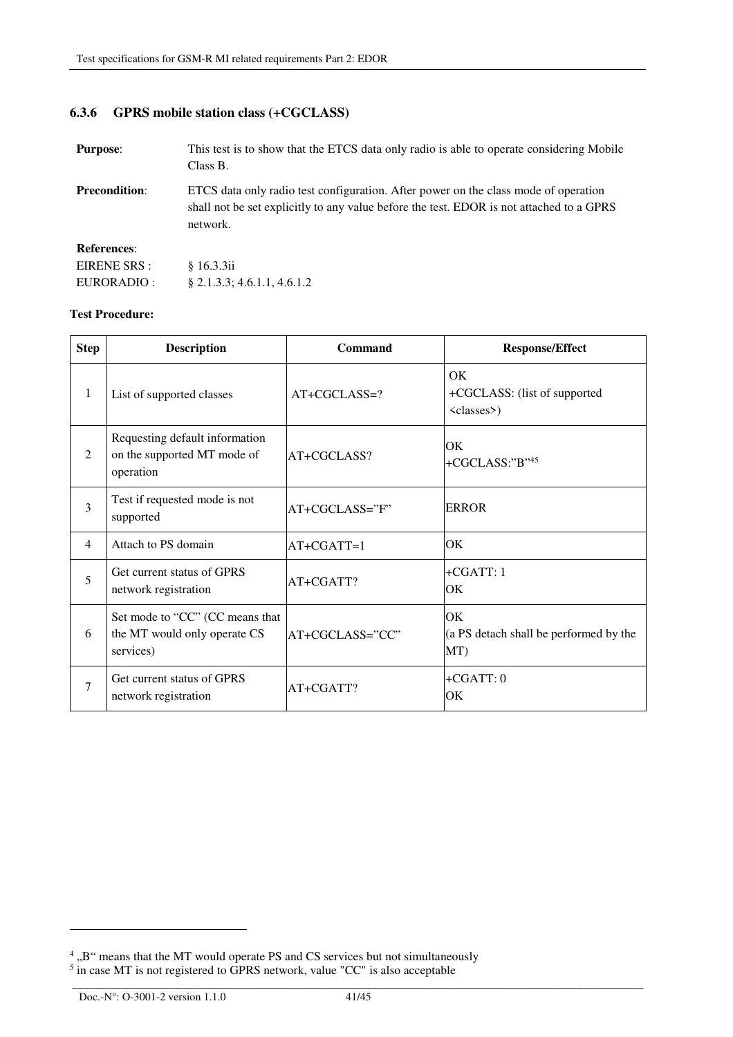## **6.3.6 GPRS mobile station class (+CGCLASS)**

| <b>Purpose:</b>      | This test is to show that the ETCS data only radio is able to operate considering Mobile<br>Class B.                                                                                        |
|----------------------|---------------------------------------------------------------------------------------------------------------------------------------------------------------------------------------------|
| <b>Precondition:</b> | ETCS data only radio test configuration. After power on the class mode of operation<br>shall not be set explicitly to any value before the test. EDOR is not attached to a GPRS<br>network. |
| <b>References:</b>   |                                                                                                                                                                                             |
| EIRENE SRS :         | \$16.3.3ii                                                                                                                                                                                  |
| EURORADIO :          | $\S$ 2.1.3.3; 4.6.1.1, 4.6.1.2                                                                                                                                                              |

#### **Test Procedure:**

| <b>Step</b> | <b>Description</b><br>Command                                                |                               | <b>Response/Effect</b>                                      |  |
|-------------|------------------------------------------------------------------------------|-------------------------------|-------------------------------------------------------------|--|
| 1           | List of supported classes                                                    | AT+CGCLASS=?                  | OK.<br>+CGCLASS: (list of supported<br><classes>)</classes> |  |
| 2           | Requesting default information<br>on the supported MT mode of<br>operation   | AT+CGCLASS?                   | OK<br>+CGCLASS:"B"45                                        |  |
| 3           | Test if requested mode is not<br>supported                                   | AT+CGCLASS="F"                | <b>ERROR</b>                                                |  |
| 4           | Attach to PS domain<br>$AT+CGATT=1$                                          |                               | ЮK                                                          |  |
| 5           | Get current status of GPRS<br>network registration                           | AT+CGATT?                     | $+CGATT:1$<br>ЮK                                            |  |
| 6           | Set mode to "CC" (CC means that<br>the MT would only operate CS<br>services) | AT+CGCLASS="CC"               | OK<br>(a PS detach shall be performed by the<br>MT)         |  |
| 7           | Get current status of GPRS<br>network registration                           | $+CGATT:0$<br>AT+CGATT?<br>ЮK |                                                             |  |

 $\overline{a}$ 

 $^4$ , B" means that the MT would operate PS and CS services but not simultaneously  $^5$  in case MT is not registered to GPRS network, value "CC" is also acceptable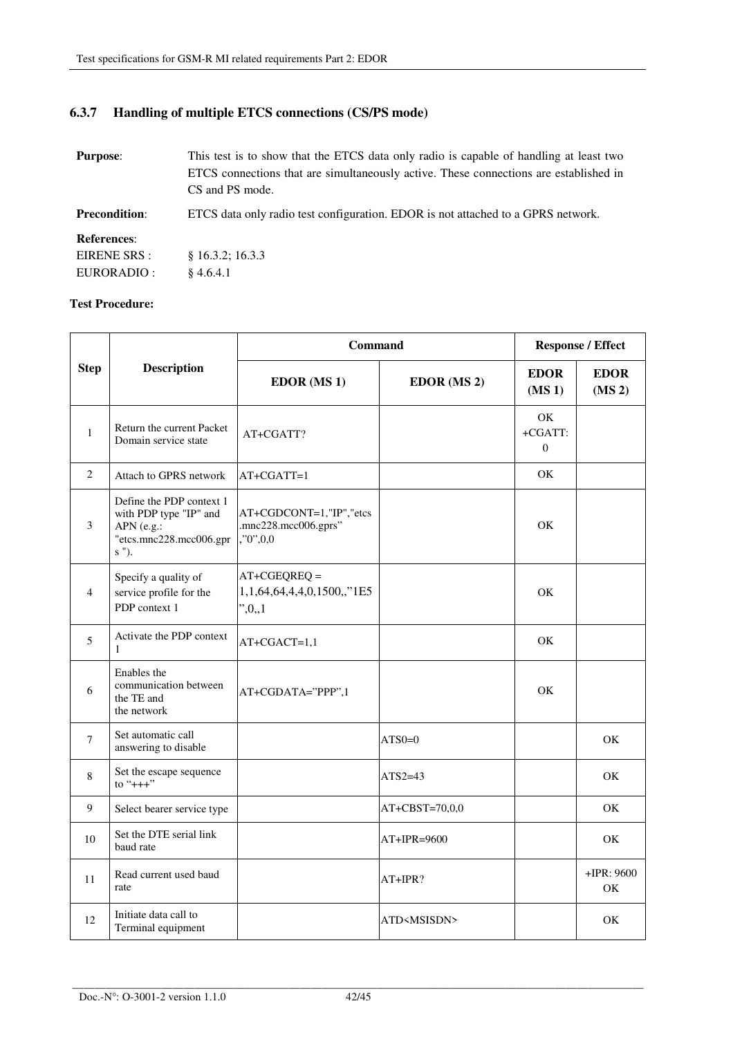# **6.3.7 Handling of multiple ETCS connections (CS/PS mode)**

| <b>Purpose:</b>                                   | This test is to show that the ETCS data only radio is capable of handling at least two<br>ETCS connections that are simultaneously active. These connections are established in<br>CS and PS mode. |
|---------------------------------------------------|----------------------------------------------------------------------------------------------------------------------------------------------------------------------------------------------------|
| <b>Precondition:</b>                              | ETCS data only radio test configuration. EDOR is not attached to a GPRS network.                                                                                                                   |
| <b>References:</b><br>EIRENE SRS :<br>EURORADIO : | \$16.3.2; 16.3.3<br>\$4.6.4.1                                                                                                                                                                      |

|                | <b>Description</b>                                                                                   | Command                                                         |                       | <b>Response / Effect</b>          |                                   |
|----------------|------------------------------------------------------------------------------------------------------|-----------------------------------------------------------------|-----------------------|-----------------------------------|-----------------------------------|
| <b>Step</b>    |                                                                                                      | <b>EDOR</b> (MS 1)                                              | EDOR (MS 2)           | <b>EDOR</b><br>(MS <sub>1</sub> ) | <b>EDOR</b><br>(MS <sub>2</sub> ) |
| $\mathbf{1}$   | Return the current Packet<br>Domain service state                                                    | AT+CGATT?                                                       |                       | OK<br>+CGATT:<br>$\Omega$         |                                   |
| 2              | Attach to GPRS network                                                                               | $AT+CGATT=1$                                                    |                       | OK                                |                                   |
| 3              | Define the PDP context 1<br>with PDP type "IP" and<br>APN (e.g.:<br>"etcs.mnc228.mcc006.gpr<br>s "). | AT+CGDCONT=1,"IP","etcs<br>.mnc228.mcc006.gprs"<br>, 0, 0, 0, 0 |                       | OK                                |                                   |
| $\overline{4}$ | Specify a quality of<br>service profile for the<br>PDP context 1                                     | $AT+CGEQREQ =$<br>1,1,64,64,4,4,0,1500,,"1E5<br>",0,1           |                       | OK                                |                                   |
| 5              | Activate the PDP context<br>$\mathbf{1}$                                                             | $AT+CGACT=1,1$                                                  |                       | OK                                |                                   |
| 6              | Enables the<br>communication between<br>the TE and<br>the network                                    | AT+CGDATA="PPP",1                                               |                       | OK                                |                                   |
| $\tau$         | Set automatic call<br>answering to disable                                                           |                                                                 | $ATSO=0$              |                                   | OK                                |
| 8              | Set the escape sequence<br>to "+++"                                                                  |                                                                 | $ATS2=43$             |                                   | OK.                               |
| 9              | Select bearer service type                                                                           |                                                                 | $AT+CBST=70,0,0$      |                                   | OK                                |
| 10             | Set the DTE serial link<br>baud rate                                                                 |                                                                 | AT+IPR=9600           |                                   | OK                                |
| 11             | Read current used baud<br>rate                                                                       |                                                                 | AT+IPR?               |                                   | $+$ IPR: 9600<br>OK               |
| 12             | Initiate data call to<br>Terminal equipment                                                          |                                                                 | ATD <msisdn></msisdn> |                                   | OK                                |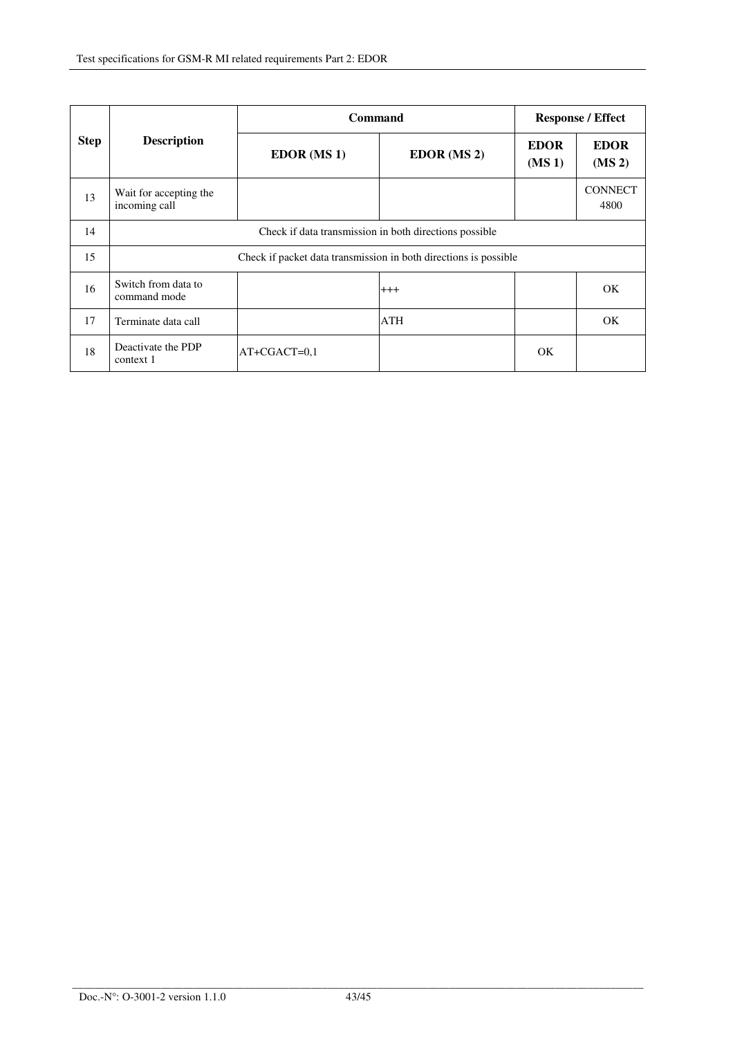| <b>Step</b> | <b>Description</b>                                               | <b>Command</b>     |             | <b>Response / Effect</b>          |                                   |  |
|-------------|------------------------------------------------------------------|--------------------|-------------|-----------------------------------|-----------------------------------|--|
|             |                                                                  | <b>EDOR</b> (MS 1) | EDOR (MS 2) | <b>EDOR</b><br>(MS <sub>1</sub> ) | <b>EDOR</b><br>(MS <sub>2</sub> ) |  |
| 13          | Wait for accepting the<br>incoming call                          |                    |             |                                   | <b>CONNECT</b><br>4800            |  |
| 14          | Check if data transmission in both directions possible           |                    |             |                                   |                                   |  |
| 15          | Check if packet data transmission in both directions is possible |                    |             |                                   |                                   |  |
| 16          | Switch from data to<br>command mode                              |                    | $+++$       |                                   | OK.                               |  |
| 17          | Terminate data call                                              |                    | ATH         |                                   | OK                                |  |
| 18          | Deactivate the PDP<br>context 1                                  | $AT+CGACT=0,1$     |             | OK                                |                                   |  |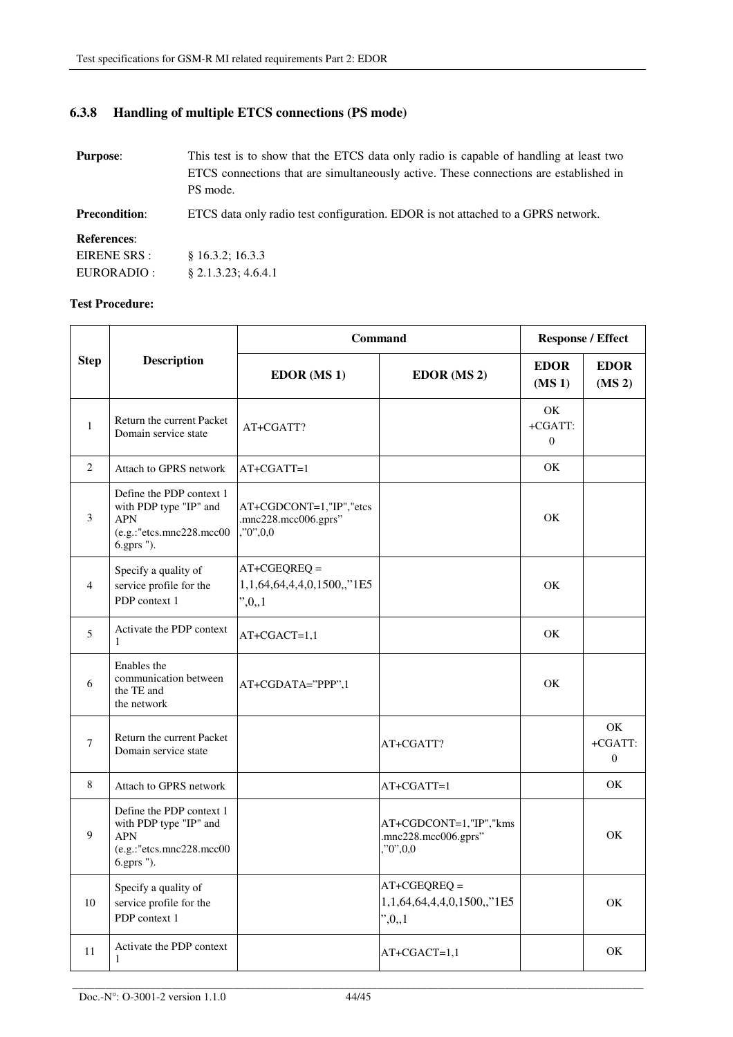# **6.3.8 Handling of multiple ETCS connections (PS mode)**

| <b>Purpose:</b>      | This test is to show that the ETCS data only radio is capable of handling at least two<br>ETCS connections that are simultaneously active. These connections are established in<br>PS mode. |
|----------------------|---------------------------------------------------------------------------------------------------------------------------------------------------------------------------------------------|
| <b>Precondition:</b> | ETCS data only radio test configuration. EDOR is not attached to a GPRS network.                                                                                                            |
| <b>References:</b>   |                                                                                                                                                                                             |
| EIRENE SRS :         | \$16.3.2; 16.3.3                                                                                                                                                                            |
| EURORADIO :          | $§$ 2.1.3.23; 4.6.4.1                                                                                                                                                                       |

| <b>Step</b>  | <b>Description</b>                                                                                          | Command                                                         |                                                                | <b>Response / Effect</b>          |                                   |
|--------------|-------------------------------------------------------------------------------------------------------------|-----------------------------------------------------------------|----------------------------------------------------------------|-----------------------------------|-----------------------------------|
|              |                                                                                                             | <b>EDOR</b> (MS 1)                                              | EDOR (MS 2)                                                    | <b>EDOR</b><br>(MS <sub>1</sub> ) | <b>EDOR</b><br>(MS <sub>2</sub> ) |
| $\mathbf{1}$ | Return the current Packet<br>Domain service state                                                           | AT+CGATT?                                                       |                                                                | OK.<br>+CGATT:<br>$\overline{0}$  |                                   |
| 2            | Attach to GPRS network                                                                                      | AT+CGATT=1                                                      |                                                                | OK.                               |                                   |
| 3            | Define the PDP context 1<br>with PDP type "IP" and<br><b>APN</b><br>(e.g.:"etcs.mnc228.mcc00<br>6.gprs ").  | AT+CGDCONT=1,"IP","etcs<br>.mnc228.mcc006.gprs"<br>, 0, 0, 0, 0 |                                                                | OK                                |                                   |
| 4            | Specify a quality of<br>service profile for the<br>PDP context 1                                            | $AT+CGEQREQ =$<br>1,1,64,64,4,4,0,1500,,"1E5<br>",0,1           |                                                                | OK.                               |                                   |
| 5            | Activate the PDP context<br>1                                                                               | AT+CGACT=1,1                                                    |                                                                | OK                                |                                   |
| 6            | Enables the<br>communication between<br>the TE and<br>the network                                           | AT+CGDATA="PPP",1                                               |                                                                | OK.                               |                                   |
| 7            | Return the current Packet<br>Domain service state                                                           |                                                                 | AT+CGATT?                                                      |                                   | OK<br>+CGATT:<br>$\Omega$         |
| 8            | Attach to GPRS network                                                                                      |                                                                 | AT+CGATT=1                                                     |                                   | OK                                |
| 9            | Define the PDP context 1<br>with PDP type "IP" and<br><b>APN</b><br>(e.g.: "etcs.mnc228.mcc00<br>6.gprs "). |                                                                 | AT+CGDCONT=1,"IP","kms<br>.mnc228.mcc006.gprs"<br>, 0, 0, 0, 0 |                                   | <b>OK</b>                         |
| 10           | Specify a quality of<br>service profile for the<br>PDP context 1                                            |                                                                 | $AT+CGEQREQ =$<br>1,1,64,64,4,4,0,1500,,"1E5<br>",0,1          |                                   | OK                                |
| 11           | Activate the PDP context<br>1                                                                               |                                                                 | AT+CGACT=1,1                                                   |                                   | OK                                |